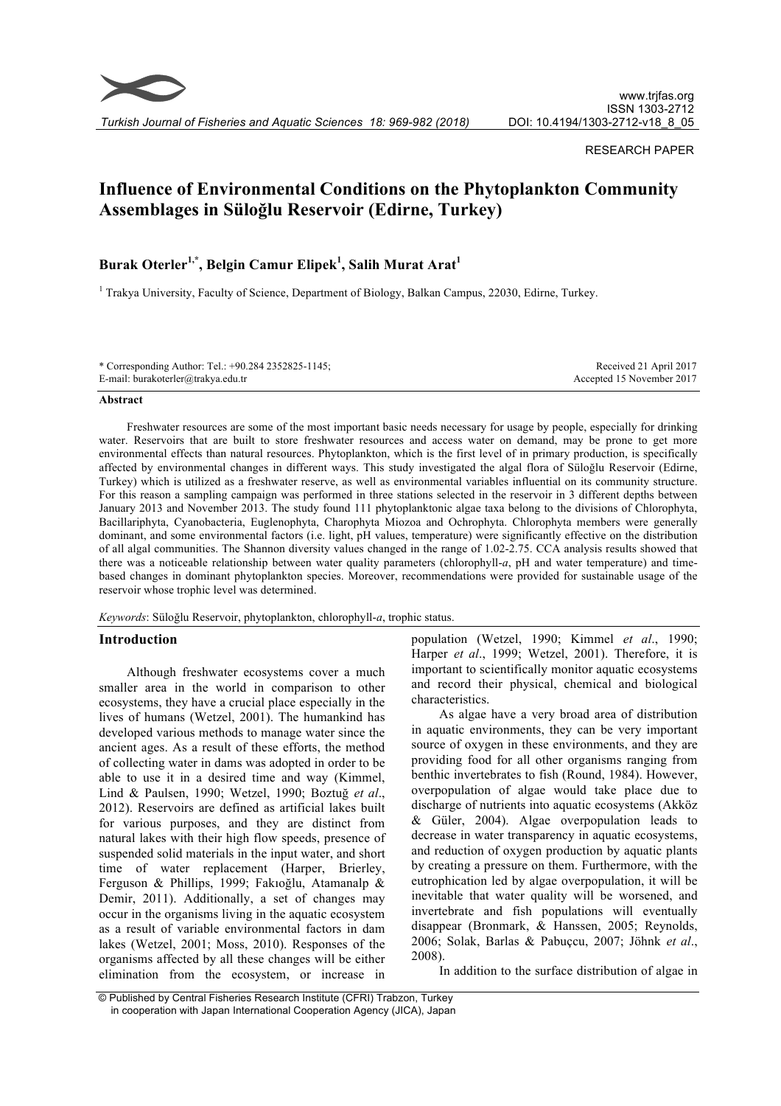

*Turkish Journal of Fisheries and Aquatic Sciences 18: 969-982 (2018)*

#### RESEARCH PAPER

# **Influence of Environmental Conditions on the Phytoplankton Community Assemblages in Süloğlu Reservoir (Edirne, Turkey)**

# **Burak Oterler1,\*, Belgin Camur Elipek1 , Salih Murat Arat<sup>1</sup>**

<sup>1</sup> Trakya University, Faculty of Science, Department of Biology, Balkan Campus, 22030, Edirne, Turkey.

| * Corresponding Author: Tel.: +90.284 2352825-1145; | Received 21 April 2017    |
|-----------------------------------------------------|---------------------------|
| E-mail: burakoterler@trakya.edu.tr                  | Accepted 15 November 2017 |

#### **Abstract**

Freshwater resources are some of the most important basic needs necessary for usage by people, especially for drinking water. Reservoirs that are built to store freshwater resources and access water on demand, may be prone to get more environmental effects than natural resources. Phytoplankton, which is the first level of in primary production, is specifically affected by environmental changes in different ways. This study investigated the algal flora of Süloğlu Reservoir (Edirne, Turkey) which is utilized as a freshwater reserve, as well as environmental variables influential on its community structure. For this reason a sampling campaign was performed in three stations selected in the reservoir in 3 different depths between January 2013 and November 2013. The study found 111 phytoplanktonic algae taxa belong to the divisions of Chlorophyta, Bacillariphyta, Cyanobacteria, Euglenophyta, Charophyta Miozoa and Ochrophyta. Chlorophyta members were generally dominant, and some environmental factors (i.e. light, pH values, temperature) were significantly effective on the distribution of all algal communities. The Shannon diversity values changed in the range of 1.02-2.75. CCA analysis results showed that there was a noticeable relationship between water quality parameters (chlorophyll-*a*, pH and water temperature) and timebased changes in dominant phytoplankton species. Moreover, recommendations were provided for sustainable usage of the reservoir whose trophic level was determined.

*Keywords*: Süloğlu Reservoir, phytoplankton, chlorophyll-*a*, trophic status.

#### **Introduction**

Although freshwater ecosystems cover a much smaller area in the world in comparison to other ecosystems, they have a crucial place especially in the lives of humans (Wetzel, 2001). The humankind has developed various methods to manage water since the ancient ages. As a result of these efforts, the method of collecting water in dams was adopted in order to be able to use it in a desired time and way (Kimmel, Lind & Paulsen, 1990; Wetzel, 1990; Boztuğ *et al*., 2012). Reservoirs are defined as artificial lakes built for various purposes, and they are distinct from natural lakes with their high flow speeds, presence of suspended solid materials in the input water, and short time of water replacement (Harper, Brierley, Ferguson & Phillips, 1999; Fakıoğlu, Atamanalp & Demir, 2011). Additionally, a set of changes may occur in the organisms living in the aquatic ecosystem as a result of variable environmental factors in dam lakes (Wetzel, 2001; Moss, 2010). Responses of the organisms affected by all these changes will be either elimination from the ecosystem, or increase in

population (Wetzel, 1990; Kimmel *et al*., 1990; Harper *et al*., 1999; Wetzel, 2001). Therefore, it is important to scientifically monitor aquatic ecosystems and record their physical, chemical and biological characteristics.

As algae have a very broad area of distribution in aquatic environments, they can be very important source of oxygen in these environments, and they are providing food for all other organisms ranging from benthic invertebrates to fish (Round, 1984). However, overpopulation of algae would take place due to discharge of nutrients into aquatic ecosystems (Akköz & Güler, 2004). Algae overpopulation leads to decrease in water transparency in aquatic ecosystems, and reduction of oxygen production by aquatic plants by creating a pressure on them. Furthermore, with the eutrophication led by algae overpopulation, it will be inevitable that water quality will be worsened, and invertebrate and fish populations will eventually disappear (Bronmark, & Hanssen, 2005; Reynolds, 2006; Solak, Barlas & Pabuçcu, 2007; Jöhnk *et al*., 2008).

In addition to the surface distribution of algae in

<sup>©</sup> Published by Central Fisheries Research Institute (CFRI) Trabzon, Turkey in cooperation with Japan International Cooperation Agency (JICA), Japan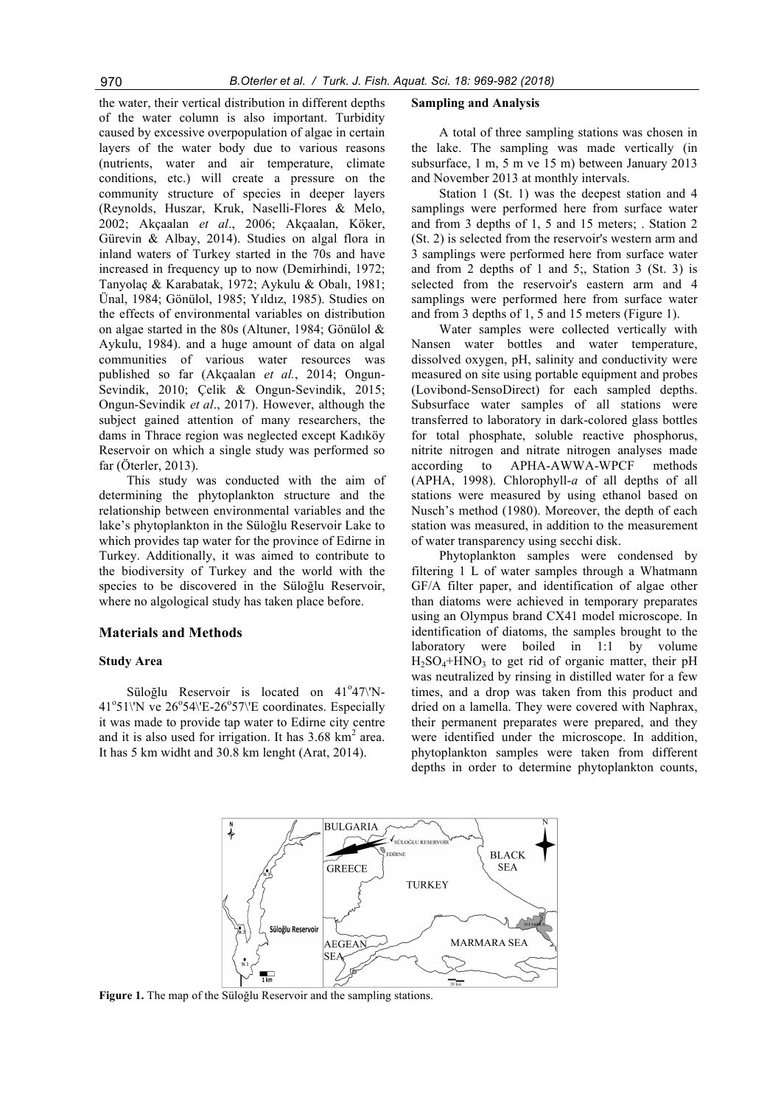the water, their vertical distribution in different depths of the water column is also important. Turbidity caused by excessive overpopulation of algae in certain layers of the water body due to various reasons (nutrients, water and air temperature, climate conditions, etc.) will create a pressure on the community structure of species in deeper layers (Reynolds, Huszar, Kruk, Naselli-Flores & Melo, 2002; Akçaalan *et al*., 2006; Akçaalan, Köker, Gürevin & Albay, 2014). Studies on algal flora in inland waters of Turkey started in the 70s and have increased in frequency up to now (Demirhindi, 1972; Tanyolaç & Karabatak, 1972; Aykulu & Obalı, 1981; Ünal, 1984; Gönülol, 1985; Yıldız, 1985). Studies on the effects of environmental variables on distribution on algae started in the 80s (Altuner, 1984; Gönülol & Aykulu, 1984). and a huge amount of data on algal communities of various water resources was published so far (Akçaalan *et al.*, 2014; Ongun-Sevindik, 2010; Çelik & Ongun-Sevindik, 2015; Ongun-Sevindik *et al*., 2017). However, although the subject gained attention of many researchers, the dams in Thrace region was neglected except Kadıköy Reservoir on which a single study was performed so far (Öterler, 2013).

This study was conducted with the aim of determining the phytoplankton structure and the relationship between environmental variables and the lake's phytoplankton in the Süloğlu Reservoir Lake to which provides tap water for the province of Edirne in Turkey. Additionally, it was aimed to contribute to the biodiversity of Turkey and the world with the species to be discovered in the Süloğlu Reservoir, where no algological study has taken place before.

#### **Materials and Methods**

#### **Study Area**

Süloğlu Reservoir is located on  $41^{\circ}47$ \'N-41°51\'N ve 26°54\'E-26°57\'E coordinates. Especially it was made to provide tap water to Edirne city centre and it is also used for irrigation. It has  $3.68 \text{ km}^2$  area. It has 5 km widht and 30.8 km lenght (Arat, 2014).

#### **Sampling and Analysis**

A total of three sampling stations was chosen in the lake. The sampling was made vertically (in subsurface, 1 m, 5 m ve 15 m) between January 2013 and November 2013 at monthly intervals.

Station 1 (St. 1) was the deepest station and 4 samplings were performed here from surface water and from 3 depths of 1, 5 and 15 meters; . Station 2 (St. 2) is selected from the reservoir's western arm and 3 samplings were performed here from surface water and from 2 depths of 1 and 5;, Station 3 (St. 3) is selected from the reservoir's eastern arm and 4 samplings were performed here from surface water and from 3 depths of 1, 5 and 15 meters (Figure 1).

Water samples were collected vertically with Nansen water bottles and water temperature, dissolved oxygen, pH, salinity and conductivity were measured on site using portable equipment and probes (Lovibond-SensoDirect) for each sampled depths. Subsurface water samples of all stations were transferred to laboratory in dark-colored glass bottles for total phosphate, soluble reactive phosphorus, nitrite nitrogen and nitrate nitrogen analyses made according to APHA-AWWA-WPCF methods (APHA, 1998). Chlorophyll-*a* of all depths of all stations were measured by using ethanol based on Nusch's method (1980). Moreover, the depth of each station was measured, in addition to the measurement of water transparency using secchi disk.

Phytoplankton samples were condensed by filtering 1 L of water samples through a Whatmann GF/A filter paper, and identification of algae other than diatoms were achieved in temporary preparates using an Olympus brand CX41 model microscope. In identification of diatoms, the samples brought to the laboratory were boiled in 1:1 by volume  $H<sub>2</sub>SO<sub>4</sub>+HNO<sub>3</sub>$  to get rid of organic matter, their pH was neutralized by rinsing in distilled water for a few times, and a drop was taken from this product and dried on a lamella. They were covered with Naphrax, their permanent preparates were prepared, and they were identified under the microscope. In addition, phytoplankton samples were taken from different depths in order to determine phytoplankton counts,



**Figure 1.** The map of the Süloğlu Reservoir and the sampling stations.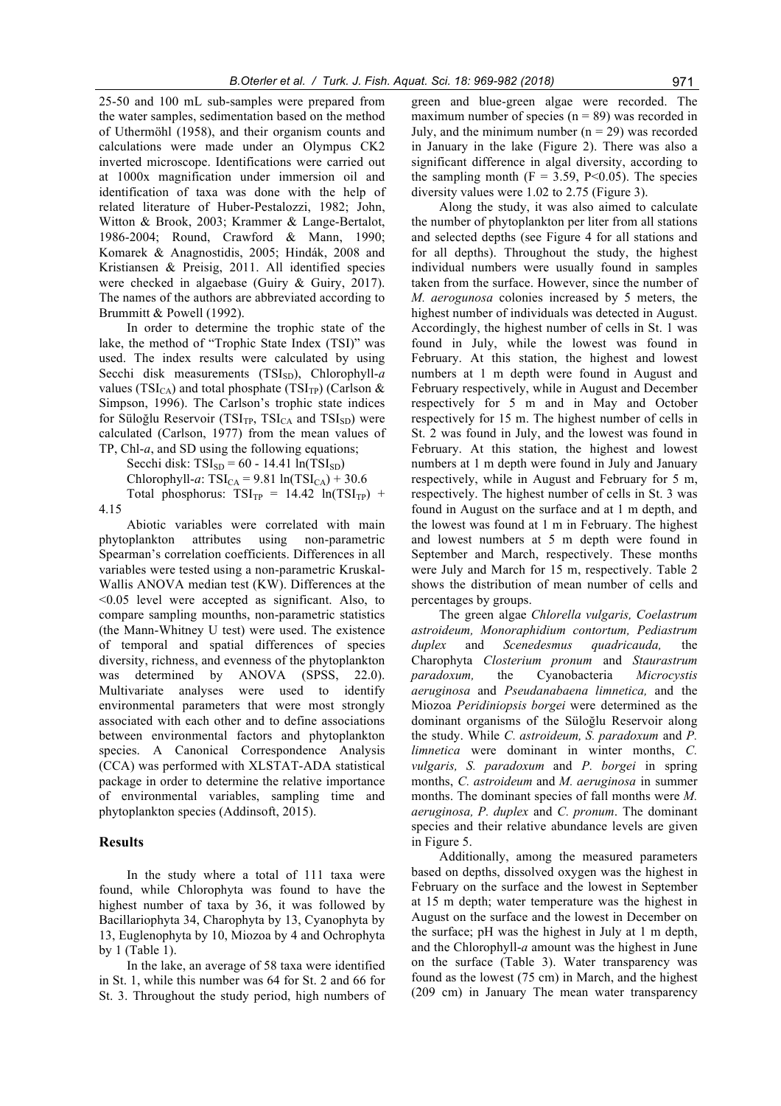25-50 and 100 mL sub-samples were prepared from the water samples, sedimentation based on the method of Uthermöhl (1958), and their organism counts and calculations were made under an Olympus CK2 inverted microscope. Identifications were carried out at 1000x magnification under immersion oil and identification of taxa was done with the help of related literature of Huber-Pestalozzi, 1982; John, Witton & Brook, 2003; Krammer & Lange-Bertalot, 1986-2004; Round, Crawford & Mann, 1990; Komarek & Anagnostidis, 2005; Hindák, 2008 and Kristiansen & Preisig, 2011. All identified species were checked in algaebase (Guiry & Guiry, 2017). The names of the authors are abbreviated according to Brummitt & Powell (1992).

In order to determine the trophic state of the lake, the method of "Trophic State Index (TSI)" was used. The index results were calculated by using Secchi disk measurements (TSI<sub>SD</sub>), Chlorophyll-a values (TSI<sub>CA</sub>) and total phosphate (TSI<sub>TP</sub>) (Carlson & Simpson, 1996). The Carlson's trophic state indices for Süloğlu Reservoir (TSI<sub>TP</sub>, TSI<sub>CA</sub> and TSI<sub>SD</sub>) were calculated (Carlson, 1977) from the mean values of TP, Chl-*a*, and SD using the following equations;

Secchi disk:  $TSI_{SD} = 60 - 14.41 \ln(TSI_{SD})$ Chlorophyll-*a*:  $TSI_{CA} = 9.81 \ln(TSI_{CA}) + 30.6$ Total phosphorus:  $TSI_{TP} = 14.42 \ln(TSI_{TP}) +$ 

4.15

Abiotic variables were correlated with main phytoplankton attributes using non-parametric Spearman's correlation coefficients. Differences in all variables were tested using a non-parametric Kruskal-Wallis ANOVA median test (KW). Differences at the <0.05 level were accepted as significant. Also, to compare sampling mounths, non-parametric statistics (the Mann-Whitney U test) were used. The existence of temporal and spatial differences of species diversity, richness, and evenness of the phytoplankton was determined by ANOVA (SPSS, 22.0). Multivariate analyses were used to identify environmental parameters that were most strongly associated with each other and to define associations between environmental factors and phytoplankton species. A Canonical Correspondence Analysis (CCA) was performed with XLSTAT-ADA statistical package in order to determine the relative importance of environmental variables, sampling time and phytoplankton species (Addinsoft, 2015).

#### **Results**

In the study where a total of 111 taxa were found, while Chlorophyta was found to have the highest number of taxa by 36, it was followed by Bacillariophyta 34, Charophyta by 13, Cyanophyta by 13, Euglenophyta by 10, Miozoa by 4 and Ochrophyta by 1 (Table 1).

In the lake, an average of 58 taxa were identified in St. 1, while this number was 64 for St. 2 and 66 for St. 3. Throughout the study period, high numbers of green and blue-green algae were recorded. The maximum number of species  $(n = 89)$  was recorded in July, and the minimum number  $(n = 29)$  was recorded in January in the lake (Figure 2). There was also a significant difference in algal diversity, according to the sampling month  $(F = 3.59, P<0.05)$ . The species diversity values were 1.02 to 2.75 (Figure 3).

Along the study, it was also aimed to calculate the number of phytoplankton per liter from all stations and selected depths (see Figure 4 for all stations and for all depths). Throughout the study, the highest individual numbers were usually found in samples taken from the surface. However, since the number of *M. aerogunosa* colonies increased by 5 meters, the highest number of individuals was detected in August. Accordingly, the highest number of cells in St. 1 was found in July, while the lowest was found in February. At this station, the highest and lowest numbers at 1 m depth were found in August and February respectively, while in August and December respectively for 5 m and in May and October respectively for 15 m. The highest number of cells in St. 2 was found in July, and the lowest was found in February. At this station, the highest and lowest numbers at 1 m depth were found in July and January respectively, while in August and February for 5 m, respectively. The highest number of cells in St. 3 was found in August on the surface and at 1 m depth, and the lowest was found at 1 m in February. The highest and lowest numbers at 5 m depth were found in September and March, respectively. These months were July and March for 15 m, respectively. Table 2 shows the distribution of mean number of cells and percentages by groups.

The green algae *Chlorella vulgaris, Coelastrum astroideum, Monoraphidium contortum, Pediastrum duplex* and *Scenedesmus quadricauda,* the Charophyta *Closterium pronum* and *Staurastrum paradoxum,* the Cyanobacteria *Microcystis aeruginosa* and *Pseudanabaena limnetica,* and the Miozoa *Peridiniopsis borgei* were determined as the dominant organisms of the Süloğlu Reservoir along the study. While *C. astroideum, S. paradoxum* and *P. limnetica* were dominant in winter months, *C. vulgaris, S. paradoxum* and *P. borgei* in spring months, *C. astroideum* and *M. aeruginosa* in summer months. The dominant species of fall months were *M. aeruginosa, P. duplex* and *C. pronum*. The dominant species and their relative abundance levels are given in Figure 5.

Additionally, among the measured parameters based on depths, dissolved oxygen was the highest in February on the surface and the lowest in September at 15 m depth; water temperature was the highest in August on the surface and the lowest in December on the surface; pH was the highest in July at 1 m depth, and the Chlorophyll-*a* amount was the highest in June on the surface (Table 3). Water transparency was found as the lowest (75 cm) in March, and the highest (209 cm) in January The mean water transparency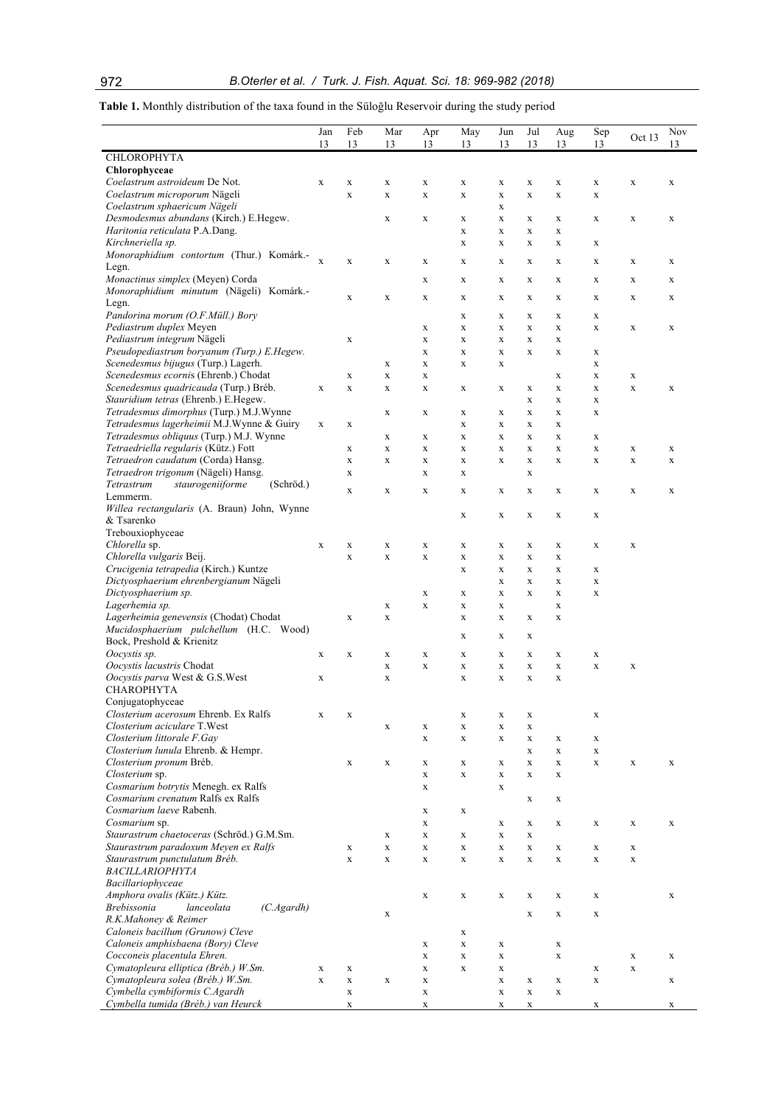**Table 1.** Monthly distribution of the taxa found in the Süloğlu Reservoir during the study period

|                                                                                      | Jan<br>13   | Feb<br>13                  | Mar<br>13                  | Apr<br>13                  | May<br>13                  | Jun<br>13                  | Jul<br>13                  | Aug<br>13                  | Sep<br>13                  | Oct 13      | Nov<br>13   |
|--------------------------------------------------------------------------------------|-------------|----------------------------|----------------------------|----------------------------|----------------------------|----------------------------|----------------------------|----------------------------|----------------------------|-------------|-------------|
| <b>CHLOROPHYTA</b>                                                                   |             |                            |                            |                            |                            |                            |                            |                            |                            |             |             |
| Chlorophyceae                                                                        |             |                            |                            |                            |                            |                            |                            |                            |                            |             |             |
| Coelastrum astroideum De Not.<br>Coelastrum microporum Nägeli                        | $\mathbf X$ | $\mathbf X$<br>$\mathbf x$ | $\mathbf X$<br>$\mathbf x$ | $\mathbf X$<br>$\mathbf X$ | X<br>$\mathbf x$           | X<br>$\mathbf x$           | X<br>$\mathbf X$           | $\mathbf X$<br>$\mathbf X$ | $\mathbf X$<br>$\mathbf X$ | $\mathbf X$ | $\mathbf X$ |
| Coelastrum sphaericum Nägeli                                                         |             |                            |                            |                            |                            | $\mathbf x$                |                            |                            |                            |             |             |
| Desmodesmus abundans (Kirch.) E.Hegew.                                               |             |                            | $\mathbf X$                | $\mathbf X$                | X                          | X                          | X                          | $\mathbf X$                | $\mathbf X$                | X           | $\mathbf X$ |
| Haritonia reticulata P.A.Dang.                                                       |             |                            |                            |                            | $\mathbf X$                | X                          | X                          | $\mathbf X$                |                            |             |             |
| Kirchneriella sp.                                                                    |             |                            |                            |                            | $\mathbf X$                | $\mathbf x$                | $\mathbf x$                | $\mathbf X$                | $\mathbf X$                |             |             |
| Monoraphidium contortum (Thur.) Komárk.-                                             | $\bf{X}$    | X                          | X                          | X                          | X                          | $\mathbf X$                | X                          | X                          | X                          | X           | X           |
| Legn.<br>Monactinus simplex (Meyen) Corda                                            |             |                            |                            | $\mathbf X$                | $\mathbf X$                | X                          | $\mathbf X$                | $\mathbf X$                | $\mathbf X$                | $\mathbf X$ | $\mathbf X$ |
| Monoraphidium minutum (Nägeli) Komárk.-                                              |             |                            |                            |                            |                            |                            |                            |                            |                            |             |             |
| Legn.                                                                                |             | $\mathbf X$                | $\mathbf X$                | $\mathbf X$                | X                          | X                          | $\mathbf X$                | $\mathbf X$                | $\mathbf X$                | $\mathbf X$ | X           |
| Pandorina morum (O.F.Müll.) Bory                                                     |             |                            |                            |                            | $\mathbf X$                | X                          | X                          | $\mathbf X$                | $\mathbf X$                |             |             |
| Pediastrum duplex Meyen                                                              |             |                            |                            | $\mathbf X$                | $\mathbf X$                | $\mathbf x$                | $\mathbf X$                | $\mathbf X$                | $\mathbf X$                | X           | $\mathbf X$ |
| Pediastrum integrum Nägeli<br>Pseudopediastrum boryanum (Turp.) E.Hegew.             |             | X                          |                            | $\mathbf X$<br>$\mathbf X$ | $\mathbf X$<br>$\mathbf X$ | X<br>X                     | X<br>X                     | $\mathbf X$<br>$\mathbf X$ | $\mathbf X$                |             |             |
| Scenedesmus bijugus (Turp.) Lagerh.                                                  |             |                            | $\mathbf X$                | $\mathbf X$                | $\mathbf X$                | X                          |                            |                            | X                          |             |             |
| Scenedesmus ecornis (Ehrenb.) Chodat                                                 |             | $\mathbf X$                | $\mathbf X$                | $\mathbf X$                |                            |                            |                            | $\mathbf X$                | $\mathbf X$                | $\mathbf X$ |             |
| Scenedesmus quadricauda (Turp.) Bréb.                                                | $\mathbf X$ | $\mathbf X$                | $\mathbf X$                | $\mathbf X$                | X                          | $\mathbf X$                | $\mathbf X$                | $\mathbf X$                | $\mathbf X$                | $\mathbf X$ | $\mathbf X$ |
| Stauridium tetras (Ehrenb.) E.Hegew.                                                 |             |                            |                            |                            |                            |                            | X                          | $\mathbf X$                | $\mathbf X$                |             |             |
| Tetradesmus dimorphus (Turp.) M.J.Wynne<br>Tetradesmus lagerheimii M.J.Wynne & Guiry |             |                            | $\mathbf X$                | $\mathbf X$                | $\mathbf X$                | X                          | X                          | $\mathbf X$                | $\mathbf X$                |             |             |
| Tetradesmus obliquus (Turp.) M.J. Wynne                                              | $\mathbf X$ | $\mathbf X$                | $\mathbf X$                | $\mathbf X$                | $\mathbf X$<br>$\mathbf X$ | $\mathbf X$<br>$\mathbf x$ | $\mathbf X$<br>X           | $\mathbf X$<br>$\mathbf X$ | $\mathbf X$                |             |             |
| Tetraedriella regularis (Kütz.) Fott                                                 |             | $\mathbf X$                | $\mathbf X$                | $\mathbf X$                | $\mathbf X$                | $\mathbf X$                | X                          | $\mathbf X$                | $\mathbf X$                | $\mathbf X$ | $\mathbf X$ |
| Tetraedron caudatum (Corda) Hansg.                                                   |             | $\mathbf X$                | $\mathbf X$                | $\mathbf X$                | $\mathbf X$                | $\mathbf X$                | $\mathbf X$                | $\mathbf X$                | $\mathbf X$                | $\mathbf X$ | $\mathbf X$ |
| Tetraedron trigonum (Nägeli) Hansg.                                                  |             | $\mathbf X$                |                            | $\mathbf X$                | $\mathbf X$                |                            | $\mathbf X$                |                            |                            |             |             |
| staurogeniiforme<br>(Schröd.)<br>Tetrastrum                                          |             | X                          | $\mathbf X$                | $\mathbf X$                | X                          | X                          | $\mathbf X$                | $\mathbf X$                | $\mathbf X$                | X           | $\mathbf X$ |
| Lemmerm.<br>Willea rectangularis (A. Braun) John, Wynne                              |             |                            |                            |                            |                            |                            |                            |                            |                            |             |             |
| & Tsarenko                                                                           |             |                            |                            |                            | $\mathbf X$                | X                          | X                          | $\mathbf X$                | $\mathbf X$                |             |             |
| Trebouxiophyceae                                                                     |             |                            |                            |                            |                            |                            |                            |                            |                            |             |             |
| Chlorella sp.                                                                        | $\mathbf X$ | $\mathbf X$                | $\mathbf X$                | $\mathbf X$                | $\mathbf X$                | X                          | X                          | $\mathbf X$                | $\mathbf X$                | $\mathbf X$ |             |
| Chlorella vulgaris Beij.                                                             |             | $\mathbf X$                | $\mathbf X$                | $\mathbf X$                | $\mathbf X$                | $\mathbf X$                | $\mathbf X$                | $\mathbf X$                |                            |             |             |
| Crucigenia tetrapedia (Kirch.) Kuntze                                                |             |                            |                            |                            | $\mathbf X$                | X                          | X                          | $\mathbf X$                | $\mathbf X$                |             |             |
| Dictyosphaerium ehrenbergianum Nägeli<br>Dictyosphaerium sp.                         |             |                            |                            | $\mathbf X$                | $\mathbf X$                | X<br>X                     | $\mathbf X$<br>X           | $\mathbf X$<br>$\mathbf X$ | $\mathbf X$<br>$\mathbf X$ |             |             |
| Lagerhemia sp.                                                                       |             |                            | $\mathbf X$                | $\mathbf X$                | $\mathbf X$                | $\mathbf x$                |                            | $\mathbf X$                |                            |             |             |
| Lagerheimia genevensis (Chodat) Chodat                                               |             | $\mathbf X$                | $\mathbf X$                |                            | X                          | $\mathbf X$                | $\mathbf X$                | $\mathbf X$                |                            |             |             |
| Mucidosphaerium pulchellum (H.C. Wood)                                               |             |                            |                            |                            | X                          | X                          | X                          |                            |                            |             |             |
| Bock, Preshold & Krienitz                                                            |             |                            |                            |                            |                            |                            |                            |                            |                            |             |             |
| Oocystis sp.<br>Oocystis lacustris Chodat                                            | $\mathbf X$ | $\mathbf X$                | $\mathbf X$<br>$\mathbf X$ | $\mathbf X$<br>$\mathbf X$ | X<br>$\mathbf X$           | $\mathbf X$<br>$\mathbf X$ | $\mathbf X$<br>$\mathbf X$ | $\mathbf X$<br>$\mathbf X$ | $\mathbf X$<br>$\mathbf X$ | $\mathbf X$ |             |
| Oocystis parva West & G.S.West                                                       | $\mathbf X$ |                            | $\mathbf X$                |                            | $\mathbf X$                | $\mathbf x$                | X                          | $\mathbf X$                |                            |             |             |
| <b>CHAROPHYTA</b>                                                                    |             |                            |                            |                            |                            |                            |                            |                            |                            |             |             |
| Conjugatophyceae                                                                     |             |                            |                            |                            |                            |                            |                            |                            |                            |             |             |
| Closterium acerosum Ehrenb. Ex Ralfs                                                 | $\mathbf X$ | X                          |                            |                            | $\mathbf X$                | $\mathbf X$                | X                          |                            | $\mathbf X$                |             |             |
| Closterium aciculare T.West                                                          |             |                            | X                          | $\mathbf X$                | $\mathbf X$                | $\mathbf X$                | $\mathbf X$                |                            |                            |             |             |
| Closterium littorale F.Gay<br>Closterium lunula Ehrenb. & Hempr.                     |             |                            |                            | $\mathbf X$                | $\mathbf X$                | $\mathbf X$                | $\mathbf X$<br>$\mathbf X$ | $\mathbf X$<br>$\mathbf X$ | $\mathbf X$<br>$\mathbf X$ |             |             |
| Closterium pronum Bréb.                                                              |             | $\mathbf X$                | $\mathbf X$                | $\mathbf X$                | $\mathbf X$                | $\mathbf X$                | $\mathbf X$                | $\mathbf X$                | $\mathbf X$                | $\mathbf X$ | $\mathbf X$ |
| Closterium sp.                                                                       |             |                            |                            | $\mathbf X$                | $\mathbf X$                | $\mathbf X$                | X                          | $\mathbf X$                |                            |             |             |
| Cosmarium botrytis Menegh. ex Ralfs                                                  |             |                            |                            | $\mathbf X$                |                            | $\mathbf X$                |                            |                            |                            |             |             |
| Cosmarium crenatum Ralfs ex Ralfs                                                    |             |                            |                            |                            |                            |                            | X                          | $\mathbf X$                |                            |             |             |
| Cosmarium laeve Rabenh.<br>Cosmarium sp.                                             |             |                            |                            | $\mathbf X$                | $\mathbf X$                |                            |                            |                            |                            |             |             |
| Staurastrum chaetoceras (Schröd.) G.M.Sm.                                            |             |                            | $\mathbf X$                | $\mathbf X$<br>$\mathbf X$ | $\mathbf X$                | X<br>$\mathbf X$           | X<br>$\mathbf X$           | $\mathbf X$                | $\mathbf X$                | $\mathbf X$ | $\mathbf X$ |
| Staurastrum paradoxum Meyen ex Ralfs                                                 |             | $\mathbf X$                | $\mathbf X$                | $\mathbf X$                | $\mathbf X$                | $\mathbf X$                | X                          | $\mathbf X$                | $\mathbf X$                | $\mathbf X$ |             |
| Staurastrum punctulatum Bréb.                                                        |             | $\mathbf X$                | $\mathbf X$                | $\mathbf X$                | $\mathbf x$                | $\mathbf X$                | $\mathbf X$                | $\mathbf X$                | $\mathbf X$                | $\mathbf X$ |             |
| <b>BACILLARIOPHYTA</b>                                                               |             |                            |                            |                            |                            |                            |                            |                            |                            |             |             |
| Bacillariophyceae                                                                    |             |                            |                            |                            |                            |                            |                            |                            |                            |             |             |
| Amphora ovalis (Kütz.) Kütz.<br><b>Brebissonia</b><br>(C.Agardh)<br>lanceolata       |             |                            |                            | $\mathbf X$                | $\mathbf X$                | $\mathbf X$                | X                          | $\mathbf X$                | $\mathbf X$                |             | $\mathbf X$ |
| R.K.Mahoney & Reimer                                                                 |             |                            | $\mathbf X$                |                            |                            |                            | $\mathbf X$                | $\mathbf X$                | $\mathbf X$                |             |             |
| Caloneis bacillum (Grunow) Cleve                                                     |             |                            |                            |                            | $\mathbf X$                |                            |                            |                            |                            |             |             |
| Caloneis amphisbaena (Bory) Cleve                                                    |             |                            |                            | $\mathbf X$                | $\mathbf X$                | $\mathbf X$                |                            | $\mathbf X$                |                            |             |             |
| Cocconeis placentula Ehren.                                                          |             |                            |                            | $\mathbf X$                | $\mathbf X$                | $\mathbf X$                |                            | $\mathbf X$                |                            | $\mathbf X$ | $\mathbf X$ |
| Cymatopleura elliptica (Bréb.) W.Sm.<br>Cymatopleura solea (Bréb.) W.Sm.             | $\mathbf X$ | X                          |                            | $\mathbf X$                | $\mathbf X$                | $\mathbf X$                |                            |                            | $\mathbf X$                | $\mathbf x$ |             |
| Cymbella cymbiformis C.Agardh                                                        | $\mathbf x$ | $\mathbf x$<br>$\mathbf x$ | $\mathbf X$                | $\mathbf X$<br>$\mathbf X$ |                            | $\mathbf X$<br>$\mathbf X$ | X<br>$\mathbf X$           | $\mathbf X$<br>$\mathbf X$ | $\mathbf X$                |             | $\mathbf X$ |
| Cymbella tumida (Bréb.) van Heurck                                                   |             | $\mathbf x$                |                            | $\mathbf X$                |                            | $\mathbf X$                | $\mathbf X$                |                            | $\mathbf X$                |             | $\mathbf X$ |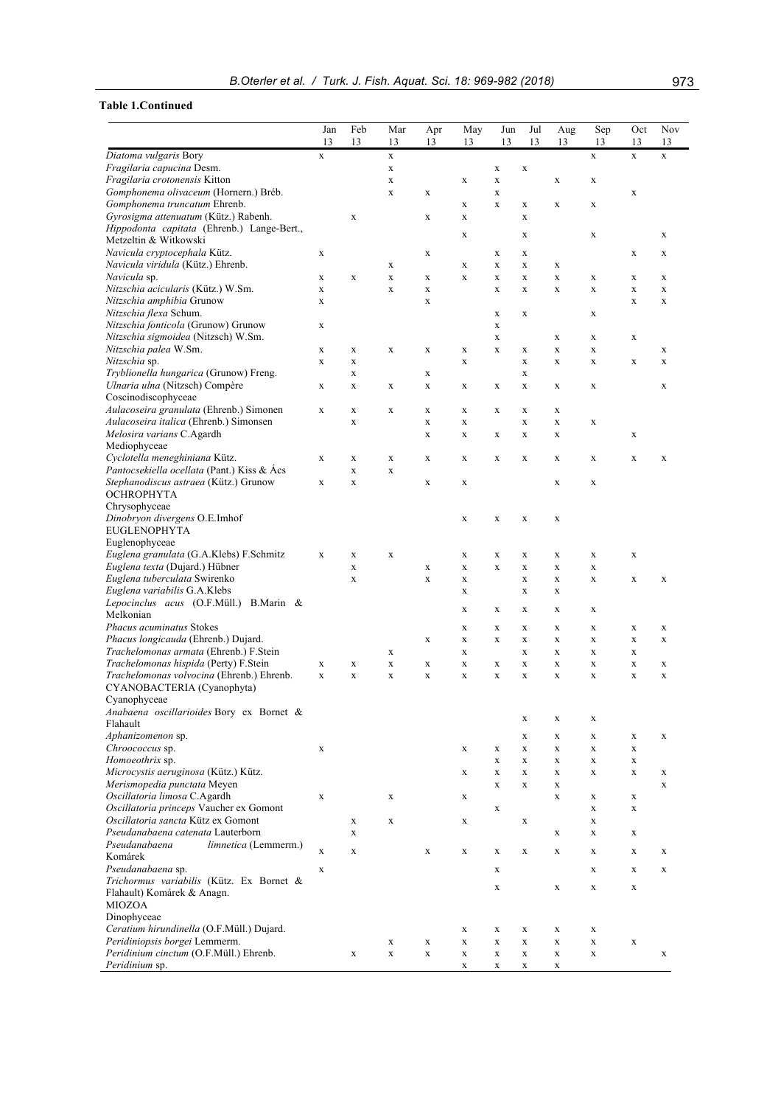|  |  |  | B.Oterler et al. / Turk. J. Fish. Aguat. Sci. 18: 969-982 (2018) | 973 |
|--|--|--|------------------------------------------------------------------|-----|
|--|--|--|------------------------------------------------------------------|-----|

## **Table 1.Continued**

|                                                                         | Jan         | Feb         | Mar                        | Apr                        | May         | Jun                        | Jul                        | Aug                        | Sep                        | Oct              | Nov              |
|-------------------------------------------------------------------------|-------------|-------------|----------------------------|----------------------------|-------------|----------------------------|----------------------------|----------------------------|----------------------------|------------------|------------------|
|                                                                         | 13          | 13          | 13                         | 13                         | 13          | 13                         | 13                         | 13                         | 13                         | 13               | 13               |
| Diatoma vulgaris Bory                                                   | $\mathbf x$ |             | $\mathbf x$                |                            |             |                            |                            |                            | $\mathbf x$                | $\mathbf X$      | $\mathbf x$      |
| Fragilaria capucina Desm.                                               |             |             | $\mathbf X$                |                            |             | X                          | $\mathbf X$                |                            |                            |                  |                  |
| Fragilaria crotonensis Kitton<br>Gomphonema olivaceum (Hornern.) Bréb.  |             |             | $\mathbf X$<br>X           | $\mathbf X$                | $\mathbf X$ | $\mathbf X$<br>$\mathbf X$ |                            | X                          | $\mathbf X$                | $\mathbf X$      |                  |
| Gomphonema truncatum Ehrenb.                                            |             |             |                            |                            | $\mathbf X$ | $\mathbf X$                | $\mathbf X$                | $\mathbf X$                | X                          |                  |                  |
| Gyrosigma attenuatum (Kütz.) Rabenh.                                    |             | $\mathbf x$ |                            | $\mathbf X$                | $\mathbf X$ |                            | $\mathbf X$                |                            |                            |                  |                  |
| Hippodonta capitata (Ehrenb.) Lange-Bert.,                              |             |             |                            |                            |             |                            |                            |                            |                            |                  |                  |
| Metzeltin & Witkowski                                                   |             |             |                            |                            | $\mathbf X$ |                            | $\mathbf X$                |                            | $\mathbf X$                |                  | X                |
| Navicula cryptocephala Kütz.                                            | $\mathbf X$ |             |                            | $\mathbf X$                |             | X                          | $\mathbf X$                |                            |                            | $\mathbf X$      | X                |
| Navicula viridula (Kütz.) Ehrenb.                                       |             |             | $\mathbf X$                |                            | $\mathbf X$ | $\mathbf X$                | $\mathbf X$                | $\mathbf X$                |                            |                  |                  |
| Navicula sp.<br>Nitzschia acicularis (Kütz.) W.Sm.                      | X<br>X      | $\mathbf X$ | $\mathbf X$<br>$\mathbf x$ | $\mathbf X$<br>$\mathbf X$ | $\mathbf X$ | $\mathbf X$<br>$\mathbf X$ | $\mathbf X$<br>$\mathbf X$ | $\mathbf X$<br>$\mathbf X$ | X<br>$\mathbf X$           | X<br>$\mathbf X$ | X<br>$\mathbf X$ |
| Nitzschia amphibia Grunow                                               | $\mathbf X$ |             |                            | $\mathbf X$                |             |                            |                            |                            |                            | $\mathbf x$      | $\mathbf x$      |
| Nitzschia flexa Schum.                                                  |             |             |                            |                            |             | X                          | X                          |                            | $\mathbf X$                |                  |                  |
| Nitzschia fonticola (Grunow) Grunow                                     | X           |             |                            |                            |             | X                          |                            |                            |                            |                  |                  |
| Nitzschia sigmoidea (Nitzsch) W.Sm.                                     |             |             |                            |                            |             | $\mathbf X$                |                            | X                          | $\mathbf X$                | X                |                  |
| Nitzschia palea W.Sm.                                                   | $\mathbf X$ | X           | $\mathbf X$                | $\mathbf X$                | $\mathbf X$ | $\mathbf X$                | $\mathbf X$                | $\mathbf X$                | $\mathbf X$                |                  | X                |
| Nitzschia sp.                                                           | $\mathbf X$ | X           |                            |                            | X           |                            | $\mathbf X$                | X                          | $\mathbf X$                | $\mathbf X$      | $\mathbf X$      |
| Tryblionella hungarica (Grunow) Freng.                                  |             | X           |                            | $\mathbf X$                |             |                            | $\mathbf X$                |                            |                            |                  |                  |
| Ulnaria ulna (Nitzsch) Compère<br>Coscinodiscophyceae                   | $\mathbf X$ | X           | $\mathbf X$                | $\mathbf X$                | $\mathbf X$ | X                          | X                          | $\mathbf X$                | X                          |                  | X                |
| Aulacoseira granulata (Ehrenb.) Simonen                                 | $\mathbf X$ | X           | X                          | $\mathbf X$                | $\mathbf X$ | X                          | $\mathbf X$                | $\mathbf X$                |                            |                  |                  |
| Aulacoseira italica (Ehrenb.) Simonsen                                  |             | $\mathbf X$ |                            | $\mathbf X$                | $\mathbf X$ |                            | $\mathbf X$                | $\mathbf X$                | $\mathbf X$                |                  |                  |
| Melosira varians C.Agardh                                               |             |             |                            | $\mathbf X$                | $\mathbf X$ | X                          | $\mathbf X$                | $\mathbf X$                |                            | $\mathbf X$      |                  |
| Mediophyceae                                                            |             |             |                            |                            |             |                            |                            |                            |                            |                  |                  |
| Cyclotella meneghiniana Kütz.                                           | $\mathbf X$ | X           | $\mathbf X$                | $\mathbf X$                | $\mathbf X$ | $\mathbf X$                | X                          | $\mathbf X$                | $\mathbf X$                | $\mathbf X$      | $\mathbf X$      |
| Pantocsekiella ocellata (Pant.) Kiss & Acs                              |             | $\mathbf X$ | $\mathbf X$                |                            |             |                            |                            |                            |                            |                  |                  |
| Stephanodiscus astraea (Kütz.) Grunow                                   | $\mathbf X$ | $\mathbf x$ |                            | $\mathbf X$                | X           |                            |                            | X                          | $\mathbf X$                |                  |                  |
| <b>OCHROPHYTA</b><br>Chrysophyceae                                      |             |             |                            |                            |             |                            |                            |                            |                            |                  |                  |
| Dinobryon divergens O.E.Imhof                                           |             |             |                            |                            | $\mathbf X$ | $\mathbf X$                | $\mathbf X$                | $\mathbf X$                |                            |                  |                  |
| <b>EUGLENOPHYTA</b>                                                     |             |             |                            |                            |             |                            |                            |                            |                            |                  |                  |
| Euglenophyceae                                                          |             |             |                            |                            |             |                            |                            |                            |                            |                  |                  |
| Euglena granulata (G.A.Klebs) F.Schmitz                                 | $\mathbf X$ | X           | $\mathbf X$                |                            | $\mathbf X$ | X                          | $\mathbf X$                | $\mathbf X$                | $\mathbf X$                | $\mathbf X$      |                  |
| Euglena texta (Dujard.) Hübner                                          |             | $\mathbf X$ |                            | $\mathbf X$                | $\mathbf X$ | $\mathbf X$                | $\mathbf X$                | $\mathbf X$                | $\mathbf X$                |                  |                  |
| Euglena tuberculata Swirenko                                            |             | $\mathbf x$ |                            | $\mathbf X$                | $\mathbf X$ |                            | $\mathbf X$                | X                          | $\mathbf X$                | $\mathbf X$      | X                |
| Euglena variabilis G.A.Klebs<br>Lepocinclus acus (O.F.Müll.) B.Marin &  |             |             |                            |                            | $\mathbf X$ |                            | $\mathbf X$                | $\mathbf X$                |                            |                  |                  |
| Melkonian                                                               |             |             |                            |                            | $\mathbf X$ | X                          | $\mathbf X$                | $\mathbf X$                | $\mathbf X$                |                  |                  |
| <b>Phacus acuminatus Stokes</b>                                         |             |             |                            |                            | $\mathbf X$ | X                          | $\mathbf X$                | $\mathbf X$                | $\mathbf X$                | X                | X                |
| Phacus longicauda (Ehrenb.) Dujard.                                     |             |             |                            | $\mathbf X$                | $\mathbf X$ | X                          | $\mathbf X$                | $\mathbf X$                | $\mathbf X$                | $\mathbf X$      | $\mathbf X$      |
| Trachelomonas armata (Ehrenb.) F.Stein                                  |             |             | X                          |                            | $\mathbf X$ |                            | $\mathbf X$                | $\mathbf X$                | $\mathbf X$                | X                |                  |
| Trachelomonas hispida (Perty) F.Stein                                   | $\mathbf X$ | $\mathbf x$ | $\mathbf X$                | $\mathbf X$                | $\mathbf X$ | X                          | $\mathbf X$                | $\mathbf X$                | $\mathbf X$                | $\mathbf x$      | $\mathbf X$      |
| Trachelomonas volvocina (Ehrenb.) Ehrenb.                               | $\mathbf X$ | $\mathbf X$ | X                          | $\mathbf X$                | $\mathbf X$ | X                          | X                          | X                          | $\mathbf X$                | X                | X                |
| CYANOBACTERIA (Cyanophyta)                                              |             |             |                            |                            |             |                            |                            |                            |                            |                  |                  |
| Cyanophyceae<br>Anabaena oscillarioides Bory ex Bornet &                |             |             |                            |                            |             |                            |                            |                            |                            |                  |                  |
| Flahault                                                                |             |             |                            |                            |             |                            | $\mathbf X$                | $\mathbf X$                | $\mathbf X$                |                  |                  |
| Aphanizomenon sp.                                                       |             |             |                            |                            |             |                            | $\mathbf X$                | $\mathbf X$                | $\mathbf X$                | $\mathbf X$      | $\mathbf X$      |
| Chroococcus sp.                                                         | $\mathbf X$ |             |                            |                            | $\mathbf X$ | $\mathbf X$                | $\mathbf X$                | $\mathbf X$                | $\mathbf X$                | $\mathbf X$      |                  |
| Homoeothrix sp.                                                         |             |             |                            |                            |             | $\mathbf X$                | $\mathbf X$                | $\mathbf X$                | $\mathbf X$                | $\mathbf X$      |                  |
| Microcystis aeruginosa (Kütz.) Kütz.                                    |             |             |                            |                            | $\mathbf X$ | $\mathbf X$                | $\mathbf X$                | $\mathbf X$                | $\mathbf X$                | $\mathbf X$      | X                |
| Merismopedia punctata Meyen                                             |             |             |                            |                            |             | $\mathbf X$                | $\mathbf X$                | $\mathbf X$                |                            |                  | X                |
| Oscillatoria limosa C.Agardh<br>Oscillatoria princeps Vaucher ex Gomont | $\mathbf X$ |             | $\mathbf X$                |                            | $\mathbf X$ | $\mathbf X$                |                            | $\mathbf X$                | $\mathbf X$<br>$\mathbf X$ | $\mathbf X$<br>X |                  |
| Oscillatoria sancta Kütz ex Gomont                                      |             | X           | $\mathbf X$                |                            | $\mathbf X$ |                            | $\mathbf X$                |                            | $\mathbf X$                |                  |                  |
| Pseudanabaena catenata Lauterborn                                       |             | X           |                            |                            |             |                            |                            | $\mathbf X$                | $\mathbf X$                | $\mathbf X$      |                  |
| Pseudanabaena<br>limnetica (Lemmerm.)                                   |             |             |                            |                            |             |                            |                            |                            |                            |                  |                  |
| Komárek                                                                 | $\mathbf X$ | X           |                            | $\mathbf X$                | $\mathbf X$ | $\mathbf X$                | $\mathbf X$                | $\mathbf X$                | X                          | $\mathbf X$      | X                |
| Pseudanabaena sp.                                                       | $\mathbf X$ |             |                            |                            |             | X                          |                            |                            | X                          | $\mathbf X$      | $\mathbf X$      |
| Trichormus variabilis (Kütz. Ex Bornet &                                |             |             |                            |                            |             | $\mathbf X$                |                            | $\mathbf X$                | $\mathbf X$                | $\mathbf X$      |                  |
| Flahault) Komárek & Anagn.                                              |             |             |                            |                            |             |                            |                            |                            |                            |                  |                  |
| <b>MIOZOA</b><br>Dinophyceae                                            |             |             |                            |                            |             |                            |                            |                            |                            |                  |                  |
| Ceratium hirundinella (O.F.Müll.) Dujard.                               |             |             |                            |                            | $\mathbf X$ | $\mathbf X$                | X                          | $\mathbf X$                | X                          |                  |                  |
| Peridiniopsis borgei Lemmerm.                                           |             |             | X                          | $\mathbf X$                | $\mathbf X$ | $\mathbf X$                | $\mathbf X$                | $\mathbf X$                | $\mathbf X$                | $\mathbf X$      |                  |
| Peridinium cinctum (O.F.Müll.) Ehrenb.                                  |             | $\mathbf X$ | $\mathbf X$                | $\mathbf X$                | $\mathbf X$ | $\mathbf X$                | $\mathbf X$                | $\mathbf X$                | $\mathbf X$                |                  | X                |
| Peridinium sp.                                                          |             |             |                            |                            | $\mathbf X$ | $\mathbf X$                | $\mathbf X$                | $\mathbf X$                |                            |                  |                  |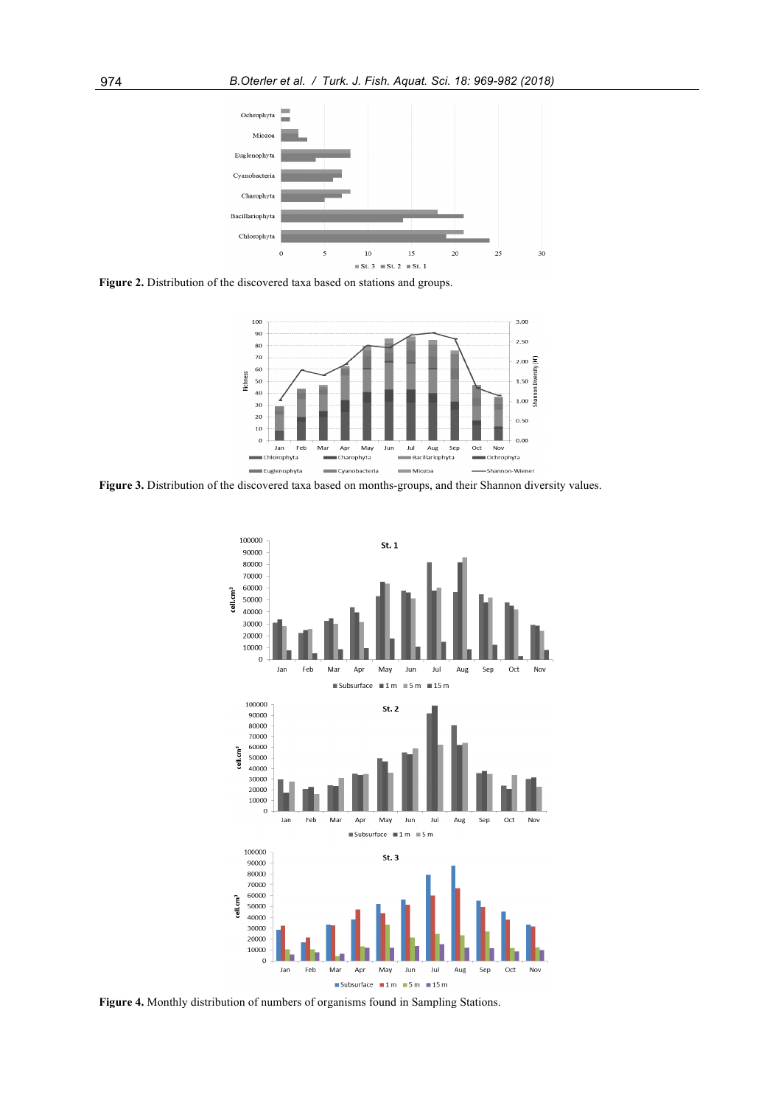

**Figure 2.** Distribution of the discovered taxa based on stations and groups.



Figure 3. Distribution of the discovered taxa based on months-groups, and their Shannon diversity values.



**Figure 4.** Monthly distribution of numbers of organisms found in Sampling Stations.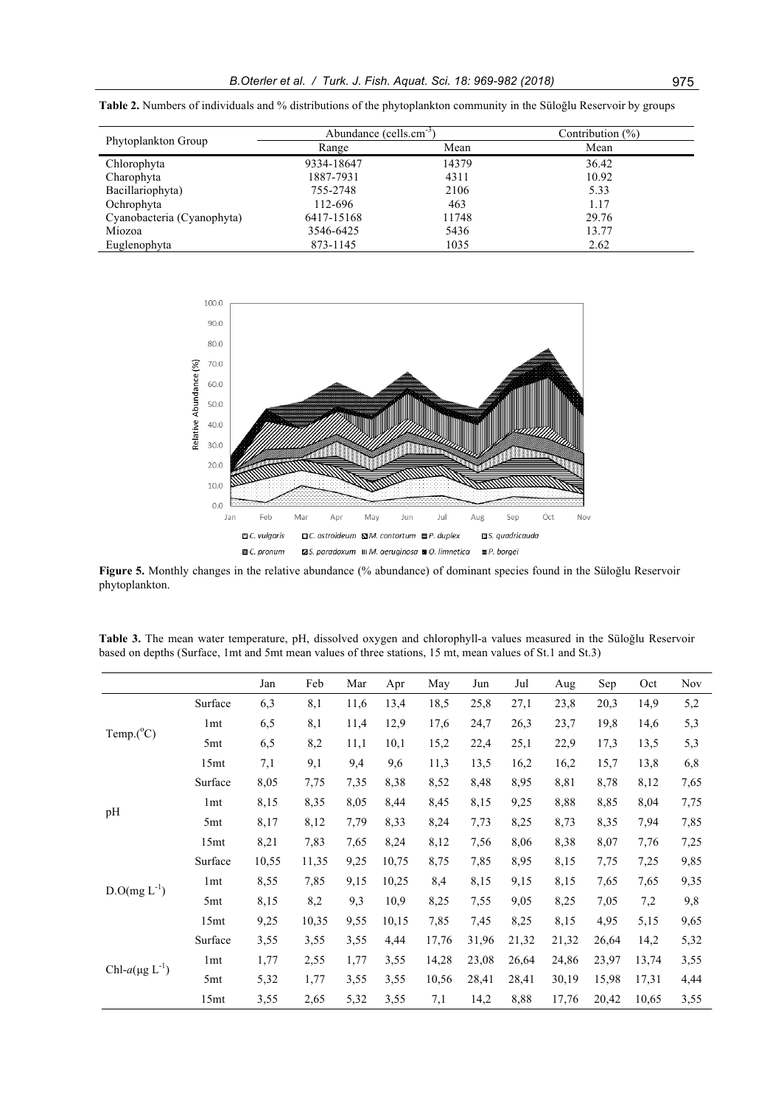|                            | Abundance (cells.cm <sup>-3)</sup> |       | Contribution $(\% )$ |  |  |
|----------------------------|------------------------------------|-------|----------------------|--|--|
| Phytoplankton Group        | Range                              | Mean  | Mean                 |  |  |
| Chlorophyta                | 9334-18647                         | 14379 | 36.42                |  |  |
| Charophyta                 | 1887-7931                          | 4311  | 10.92                |  |  |
| Bacillariophyta)           | 755-2748                           | 2106  | 5.33                 |  |  |
| Ochrophyta                 | 112-696                            | 463   | 1.17                 |  |  |
| Cyanobacteria (Cyanophyta) | 6417-15168                         | 11748 | 29.76                |  |  |
| Miozoa                     | 3546-6425                          | 5436  | 13.77                |  |  |
| Euglenophyta               | 873-1145                           | 1035  | 2.62                 |  |  |

**Table 2.** Numbers of individuals and % distributions of the phytoplankton community in the Süloğlu Reservoir by groups



**Figure 5.** Monthly changes in the relative abundance (% abundance) of dominant species found in the Süloğlu Reservoir phytoplankton.

**Table 3.** The mean water temperature, pH, dissolved oxygen and chlorophyll-a values measured in the Süloğlu Reservoir based on depths (Surface, 1mt and 5mt mean values of three stations, 15 mt, mean values of St.1 and St.3)

|                        |                  | Jan   | Feb   | Mar  | Apr   | May   | Jun   | Jul   | Aug   | Sep   | Oct   | <b>Nov</b> |
|------------------------|------------------|-------|-------|------|-------|-------|-------|-------|-------|-------|-------|------------|
|                        | Surface          | 6,3   | 8,1   | 11,6 | 13,4  | 18,5  | 25,8  | 27,1  | 23,8  | 20,3  | 14,9  | 5,2        |
| Temp. $(^{\circ}C)$    | 1 <sub>mt</sub>  | 6,5   | 8,1   | 11,4 | 12,9  | 17,6  | 24,7  | 26,3  | 23,7  | 19,8  | 14,6  | 5,3        |
|                        | 5 <sub>mt</sub>  | 6,5   | 8,2   | 11,1 | 10,1  | 15,2  | 22,4  | 25,1  | 22,9  | 17,3  | 13,5  | 5,3        |
|                        | 15 <sub>mt</sub> | 7,1   | 9,1   | 9,4  | 9,6   | 11,3  | 13,5  | 16,2  | 16,2  | 15,7  | 13,8  | 6,8        |
|                        | Surface          | 8,05  | 7,75  | 7,35 | 8,38  | 8,52  | 8,48  | 8,95  | 8,81  | 8,78  | 8,12  | 7,65       |
|                        | 1 <sub>mt</sub>  | 8,15  | 8,35  | 8,05 | 8,44  | 8,45  | 8,15  | 9,25  | 8,88  | 8,85  | 8,04  | 7,75       |
| pH                     | 5 <sub>mt</sub>  | 8,17  | 8,12  | 7,79 | 8,33  | 8,24  | 7,73  | 8,25  | 8,73  | 8,35  | 7,94  | 7,85       |
|                        | 15mt             | 8,21  | 7,83  | 7,65 | 8,24  | 8,12  | 7,56  | 8,06  | 8,38  | 8,07  | 7,76  | 7,25       |
|                        | Surface          | 10,55 | 11,35 | 9,25 | 10,75 | 8,75  | 7,85  | 8,95  | 8,15  | 7,75  | 7,25  | 9,85       |
|                        | 1 <sub>mt</sub>  | 8,55  | 7,85  | 9,15 | 10,25 | 8,4   | 8,15  | 9,15  | 8,15  | 7,65  | 7,65  | 9,35       |
| $D.O(mg L^{-1})$       | 5 <sub>mt</sub>  | 8,15  | 8,2   | 9,3  | 10,9  | 8,25  | 7,55  | 9,05  | 8,25  | 7,05  | 7,2   | 9,8        |
|                        | 15 <sub>mt</sub> | 9,25  | 10,35 | 9,55 | 10,15 | 7,85  | 7,45  | 8,25  | 8,15  | 4,95  | 5,15  | 9,65       |
|                        | Surface          | 3,55  | 3,55  | 3,55 | 4,44  | 17,76 | 31,96 | 21,32 | 21,32 | 26,64 | 14,2  | 5,32       |
|                        | 1 <sub>mt</sub>  | 1,77  | 2,55  | 1,77 | 3,55  | 14,28 | 23,08 | 26,64 | 24,86 | 23,97 | 13,74 | 3,55       |
| Chl- $a(\mu g L^{-1})$ | 5 <sub>mt</sub>  | 5,32  | 1,77  | 3,55 | 3,55  | 10,56 | 28,41 | 28,41 | 30,19 | 15,98 | 17,31 | 4,44       |
|                        | 15 <sub>mt</sub> | 3,55  | 2,65  | 5,32 | 3,55  | 7,1   | 14,2  | 8,88  | 17,76 | 20,42 | 10,65 | 3,55       |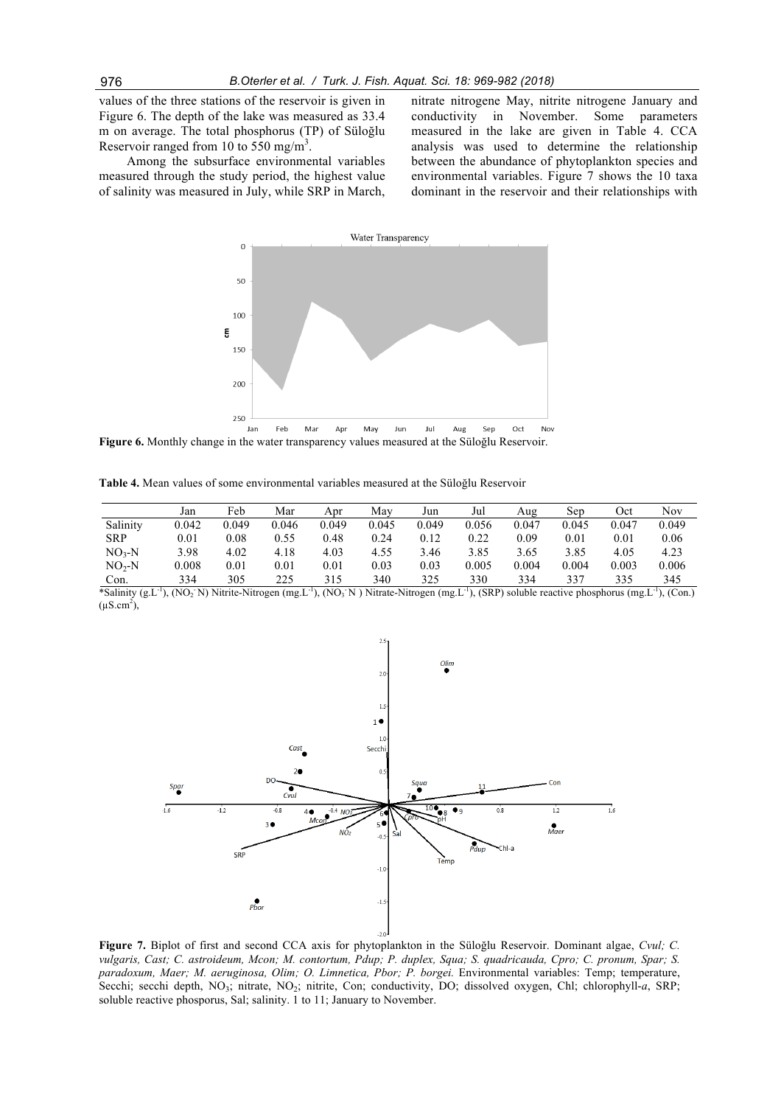values of the three stations of the reservoir is given in Figure 6. The depth of the lake was measured as 33.4 m on average. The total phosphorus (TP) of Süloğlu Reservoir ranged from 10 to 550 mg/m<sup>3</sup>.

Among the subsurface environmental variables measured through the study period, the highest value of salinity was measured in July, while SRP in March,

nitrate nitrogene May, nitrite nitrogene January and conductivity in November. Some parameters measured in the lake are given in Table 4. CCA analysis was used to determine the relationship between the abundance of phytoplankton species and environmental variables. Figure 7 shows the 10 taxa dominant in the reservoir and their relationships with



**Figure 6.** Monthly change in the water transparency values measured at the Süloğlu Reservoir.

**Table 4.** Mean values of some environmental variables measured at the Süloğlu Reservoir

|            | Jan   | Feb      | Mar   | Apr   | Mav   | Jun   | Jul   | Aug   | Sep   | Oct   | <b>Nov</b> |
|------------|-------|----------|-------|-------|-------|-------|-------|-------|-------|-------|------------|
| Salinity   | 0.042 | 0.049    | 0.046 | 0.049 | 0.045 | 0.049 | 0.056 | 0.047 | 0.045 | 0.047 | 0.049      |
| <b>SRP</b> | 0.01  | 0.08     | 0.55  | 0.48  | 0.24  | 0.12  | 0.22  | 0.09  | 0.01  | 0.01  | 0.06       |
| $NO3-N$    | 3.98  | 4.02     | 4.18  | 4.03  | 4.55  | 3.46  | 3.85  | 3.65  | 3.85  | 4.05  | 4.23       |
| $NO2-N$    | 0.008 | $0.01\,$ | 0.01  | 0.01  | 0.03  | 0.03  | 0.005 | 0.004 | 0.004 | 0.003 | 0.006      |
| Con.       | 334   | 305      | 225   | 315   | 340   | 325   | 330   | 334   | 337   | 335   | 345        |

\*Salinity (g.L<sup>-1</sup>), (NO<sub>2</sub> N) Nitrite-Nitrogen (mg.L<sup>-1</sup>), (NO<sub>3</sub> N) Nitrate-Nitrogen (mg.L<sup>-1</sup>), (SRP) soluble reactive phosphorus (mg.L<sup>-1</sup>), (Con.)  $(\mu S.cm^2)$ ,



**Figure 7.** Biplot of first and second CCA axis for phytoplankton in the Süloğlu Reservoir. Dominant algae, *Cvul; C. vulgaris, Cast; C. astroideum, Mcon; M. contortum, Pdup; P. duplex, Squa; S. quadricauda, Cpro; C. pronum, Spar; S. paradoxum, Maer; M. aeruginosa, Olim; O. Limnetica, Pbor; P. borgei.* Environmental variables: Temp; temperature, Secchi; secchi depth, NO<sub>3</sub>; nitrate, NO<sub>2</sub>; nitrite, Con; conductivity, DO; dissolved oxygen, Chl; chlorophyll-*a*, SRP; soluble reactive phosporus, Sal; salinity. 1 to 11; January to November.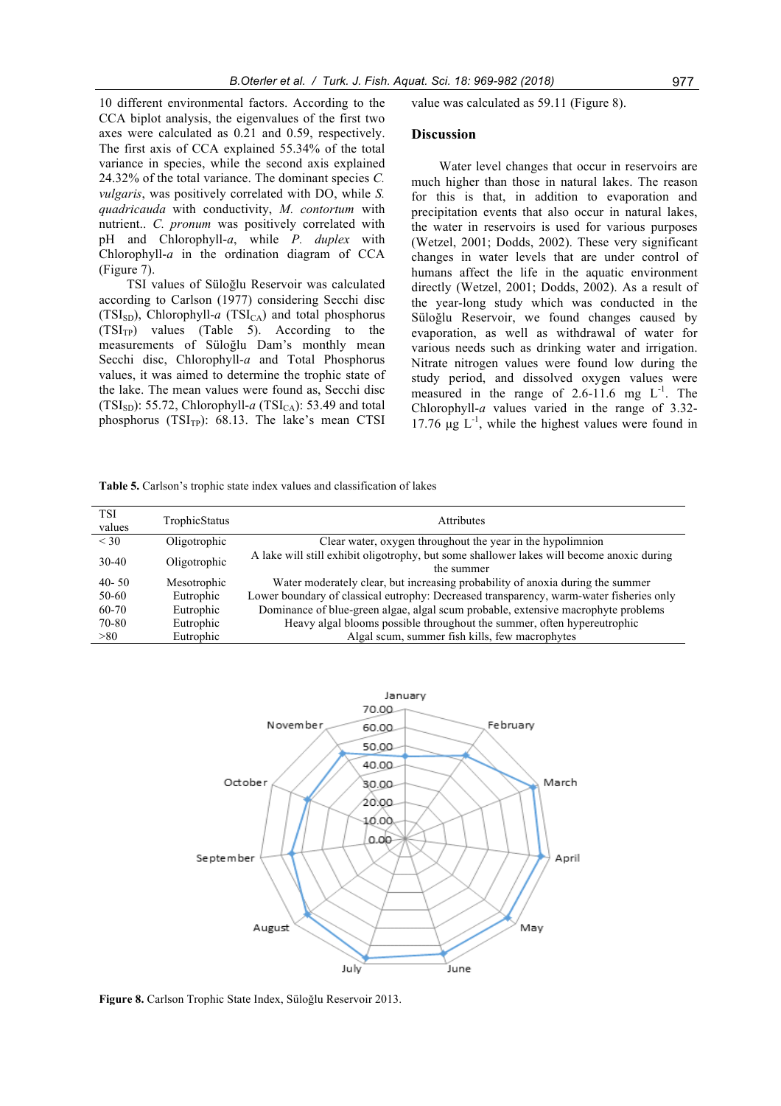10 different environmental factors. According to the CCA biplot analysis, the eigenvalues of the first two axes were calculated as 0.21 and 0.59, respectively. The first axis of CCA explained 55.34% of the total variance in species, while the second axis explained 24.32% of the total variance. The dominant species *C. vulgaris*, was positively correlated with DO, while *S. quadricauda* with conductivity, *M. contortum* with nutrient.. *C. pronum* was positively correlated with pH and Chlorophyll-*a*, while *P. duplex* with Chlorophyll-*a* in the ordination diagram of CCA (Figure 7).

TSI values of Süloğlu Reservoir was calculated according to Carlson (1977) considering Secchi disc (TSI<sub>SD</sub>), Chlorophyll-*a* (TSI<sub>CA</sub>) and total phosphorus  $(TSI<sub>TP</sub>)$  values  $(Table 5)$ . According to the measurements of Süloğlu Dam's monthly mean Secchi disc, Chlorophyll-*a* and Total Phosphorus values, it was aimed to determine the trophic state of the lake. The mean values were found as, Secchi disc (TSI<sub>SD</sub>): 55.72, Chlorophyll- $a$  (TSI<sub>CA</sub>): 53.49 and total phosphorus  $(TSI_{TP})$ : 68.13. The lake's mean CTSI value was calculated as 59.11 (Figure 8).

#### **Discussion**

Water level changes that occur in reservoirs are much higher than those in natural lakes. The reason for this is that, in addition to evaporation and precipitation events that also occur in natural lakes, the water in reservoirs is used for various purposes (Wetzel, 2001; Dodds, 2002). These very significant changes in water levels that are under control of humans affect the life in the aquatic environment directly (Wetzel, 2001; Dodds, 2002). As a result of the year-long study which was conducted in the Süloğlu Reservoir, we found changes caused by evaporation, as well as withdrawal of water for various needs such as drinking water and irrigation. Nitrate nitrogen values were found low during the study period, and dissolved oxygen values were measured in the range of  $2.6-11.6$  mg  $L^{-1}$ . The Chlorophyll-*a* values varied in the range of 3.32- 17.76  $\mu$ g L<sup>-1</sup>, while the highest values were found in

**Table 5.** Carlson's trophic state index values and classification of lakes

| TSI<br>values | TrophicStatus | Attributes                                                                                              |
|---------------|---------------|---------------------------------------------------------------------------------------------------------|
| $<$ 30        | Oligotrophic  | Clear water, oxygen throughout the year in the hypolimnion                                              |
| 30-40         | Oligotrophic  | A lake will still exhibit oligotrophy, but some shallower lakes will become anoxic during<br>the summer |
| $40 - 50$     | Mesotrophic   | Water moderately clear, but increasing probability of anoxia during the summer                          |
| 50-60         | Eutrophic     | Lower boundary of classical eutrophy: Decreased transparency, warm-water fisheries only                 |
| 60-70         | Eutrophic     | Dominance of blue-green algae, algal scum probable, extensive macrophyte problems                       |
| 70-80         | Eutrophic     | Heavy algal blooms possible throughout the summer, often hypereutrophic                                 |
| > 80          | Eutrophic     | Algal scum, summer fish kills, few macrophytes                                                          |



**Figure 8.** Carlson Trophic State Index, Süloğlu Reservoir 2013.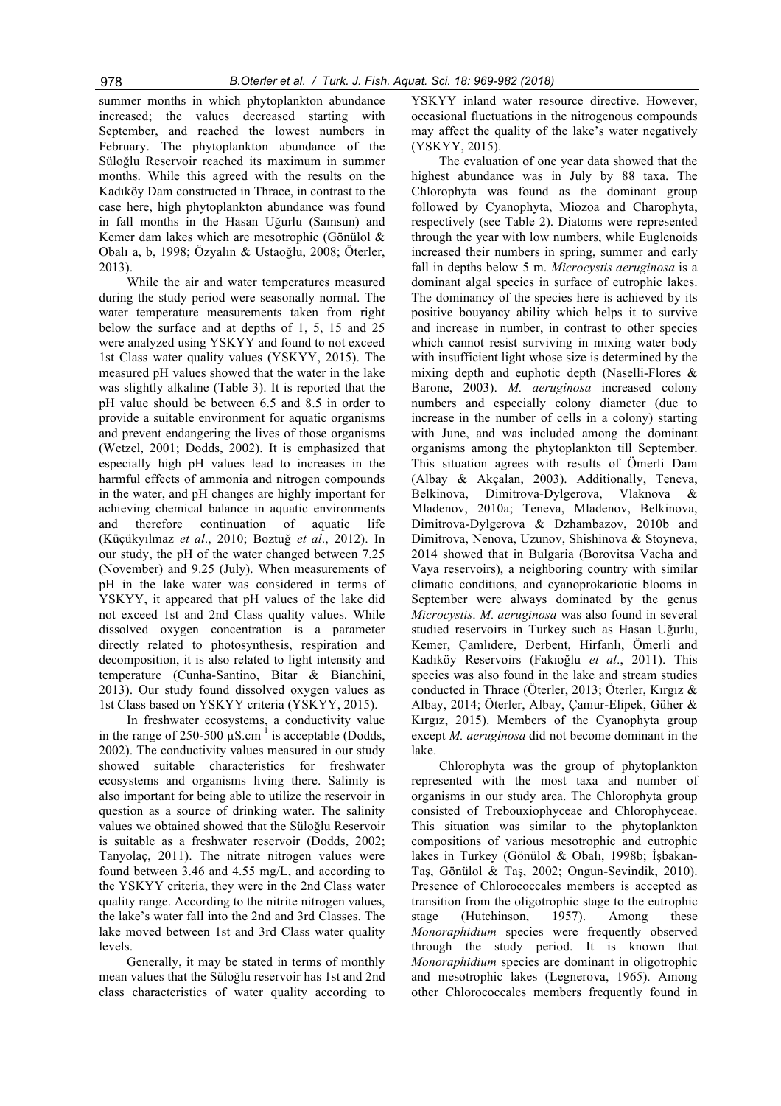summer months in which phytoplankton abundance increased; the values decreased starting with September, and reached the lowest numbers in February. The phytoplankton abundance of the Süloğlu Reservoir reached its maximum in summer months. While this agreed with the results on the Kadıköy Dam constructed in Thrace, in contrast to the case here, high phytoplankton abundance was found in fall months in the Hasan Uğurlu (Samsun) and Kemer dam lakes which are mesotrophic (Gönülol & Obalı a, b, 1998; Özyalın & Ustaoğlu, 2008; Öterler, 2013).

While the air and water temperatures measured during the study period were seasonally normal. The water temperature measurements taken from right below the surface and at depths of 1, 5, 15 and 25 were analyzed using YSKYY and found to not exceed 1st Class water quality values (YSKYY, 2015). The measured pH values showed that the water in the lake was slightly alkaline (Table 3). It is reported that the pH value should be between 6.5 and 8.5 in order to provide a suitable environment for aquatic organisms and prevent endangering the lives of those organisms (Wetzel, 2001; Dodds, 2002). It is emphasized that especially high pH values lead to increases in the harmful effects of ammonia and nitrogen compounds in the water, and pH changes are highly important for achieving chemical balance in aquatic environments and therefore continuation of aquatic life (Küçükyılmaz *et al*., 2010; Boztuğ *et al*., 2012). In our study, the pH of the water changed between 7.25 (November) and 9.25 (July). When measurements of pH in the lake water was considered in terms of YSKYY, it appeared that pH values of the lake did not exceed 1st and 2nd Class quality values. While dissolved oxygen concentration is a parameter directly related to photosynthesis, respiration and decomposition, it is also related to light intensity and temperature (Cunha-Santino, Bitar & Bianchini, 2013). Our study found dissolved oxygen values as 1st Class based on YSKYY criteria (YSKYY, 2015).

In freshwater ecosystems, a conductivity value in the range of 250-500  $\mu$ S.cm<sup>-1</sup> is acceptable (Dodds, 2002). The conductivity values measured in our study showed suitable characteristics for freshwater ecosystems and organisms living there. Salinity is also important for being able to utilize the reservoir in question as a source of drinking water. The salinity values we obtained showed that the Süloğlu Reservoir is suitable as a freshwater reservoir (Dodds, 2002; Tanyolaç, 2011). The nitrate nitrogen values were found between 3.46 and 4.55 mg/L, and according to the YSKYY criteria, they were in the 2nd Class water quality range. According to the nitrite nitrogen values, the lake's water fall into the 2nd and 3rd Classes. The lake moved between 1st and 3rd Class water quality levels.

Generally, it may be stated in terms of monthly mean values that the Süloğlu reservoir has 1st and 2nd class characteristics of water quality according to

YSKYY inland water resource directive. However, occasional fluctuations in the nitrogenous compounds may affect the quality of the lake's water negatively (YSKYY, 2015).

The evaluation of one year data showed that the highest abundance was in July by 88 taxa. The Chlorophyta was found as the dominant group followed by Cyanophyta, Miozoa and Charophyta, respectively (see Table 2). Diatoms were represented through the year with low numbers, while Euglenoids increased their numbers in spring, summer and early fall in depths below 5 m. *Microcystis aeruginosa* is a dominant algal species in surface of eutrophic lakes. The dominancy of the species here is achieved by its positive bouyancy ability which helps it to survive and increase in number, in contrast to other species which cannot resist surviving in mixing water body with insufficient light whose size is determined by the mixing depth and euphotic depth (Naselli-Flores & Barone, 2003). *M. aeruginosa* increased colony numbers and especially colony diameter (due to increase in the number of cells in a colony) starting with June, and was included among the dominant organisms among the phytoplankton till September. This situation agrees with results of Ömerli Dam (Albay & Akçalan, 2003). Additionally, Teneva, Belkinova, Dimitrova-Dylgerova, Vlaknova & Mladenov, 2010a; Teneva, Mladenov, Belkinova, Dimitrova-Dylgerova & Dzhambazov, 2010b and Dimitrova, Nenova, Uzunov, Shishinova & Stoyneva, 2014 showed that in Bulgaria (Borovitsa Vacha and Vaya reservoirs), a neighboring country with similar climatic conditions, and cyanoprokariotic blooms in September were always dominated by the genus *Microcystis*. *M. aeruginosa* was also found in several studied reservoirs in Turkey such as Hasan Uğurlu, Kemer, Çamlıdere, Derbent, Hirfanlı, Ömerli and Kadıköy Reservoirs (Fakıoğlu *et al*., 2011). This species was also found in the lake and stream studies conducted in Thrace (Öterler, 2013; Öterler, Kırgız & Albay, 2014; Öterler, Albay, Çamur-Elipek, Güher & Kırgız, 2015). Members of the Cyanophyta group except *M. aeruginosa* did not become dominant in the lake.

Chlorophyta was the group of phytoplankton represented with the most taxa and number of organisms in our study area. The Chlorophyta group consisted of Trebouxiophyceae and Chlorophyceae. This situation was similar to the phytoplankton compositions of various mesotrophic and eutrophic lakes in Turkey (Gönülol & Obalı, 1998b; İşbakan-Taş, Gönülol & Taş, 2002; Ongun-Sevindik, 2010). Presence of Chlorococcales members is accepted as transition from the oligotrophic stage to the eutrophic stage (Hutchinson, 1957). Among these *Monoraphidium* species were frequently observed through the study period. It is known that *Monoraphidium* species are dominant in oligotrophic and mesotrophic lakes (Legnerova, 1965). Among other Chlorococcales members frequently found in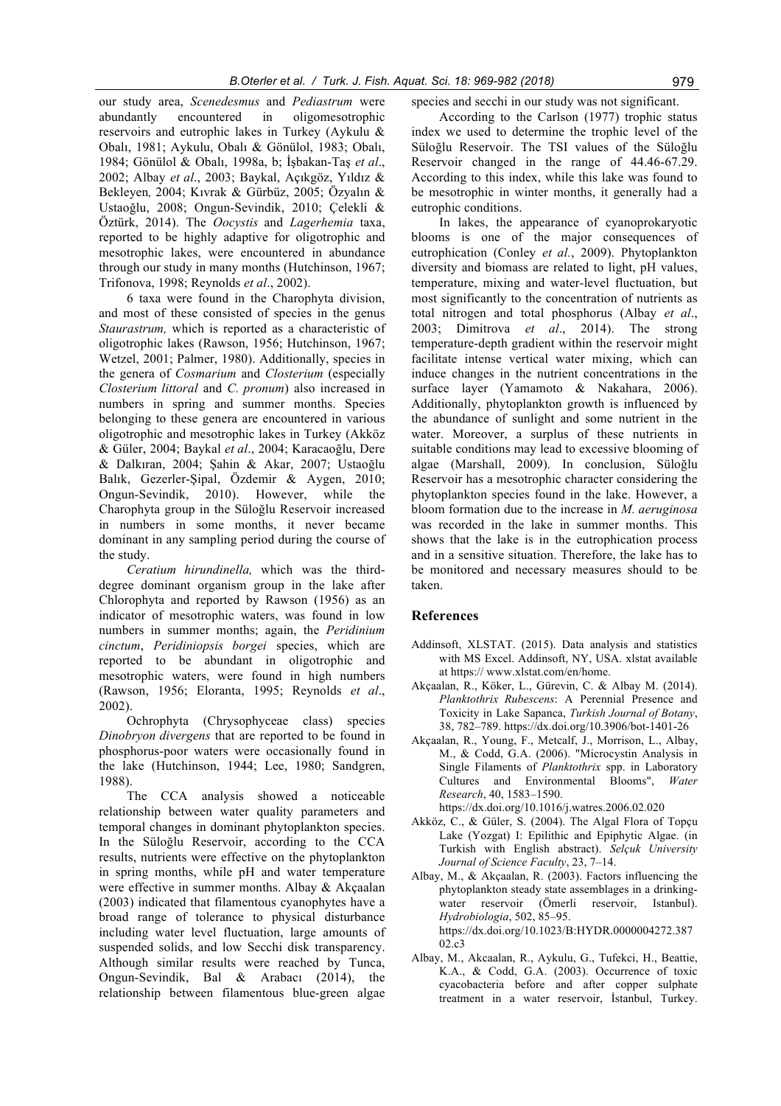our study area, *Scenedesmus* and *Pediastrum* were abundantly encountered in oligomesotrophic reservoirs and eutrophic lakes in Turkey (Aykulu & Obalı, 1981; Aykulu, Obalı & Gönülol, 1983; Obalı, 1984; Gönülol & Obalı, 1998a, b; İşbakan-Taş *et al*., 2002; Albay *et al*., 2003; Baykal, Açıkgöz, Yıldız & Bekleyen*,* 2004; Kıvrak & Gürbüz, 2005; Özyalın & Ustaoğlu, 2008; Ongun-Sevindik, 2010; Çelekli & Öztürk, 2014). The *Oocystis* and *Lagerhemia* taxa, reported to be highly adaptive for oligotrophic and mesotrophic lakes, were encountered in abundance through our study in many months (Hutchinson, 1967; Trifonova, 1998; Reynolds *et al*., 2002).

6 taxa were found in the Charophyta division, and most of these consisted of species in the genus *Staurastrum,* which is reported as a characteristic of oligotrophic lakes (Rawson, 1956; Hutchinson, 1967; Wetzel, 2001; Palmer, 1980). Additionally, species in the genera of *Cosmarium* and *Closterium* (especially *Closterium littoral* and *C. pronum*) also increased in numbers in spring and summer months. Species belonging to these genera are encountered in various oligotrophic and mesotrophic lakes in Turkey (Akköz & Güler, 2004; Baykal *et al*., 2004; Karacaoğlu, Dere & Dalkıran, 2004; Şahin & Akar, 2007; Ustaoğlu Balık, Gezerler-Şipal, Özdemir & Aygen, 2010; Ongun-Sevindik, 2010). However, while the Charophyta group in the Süloğlu Reservoir increased in numbers in some months, it never became dominant in any sampling period during the course of the study.

*Ceratium hirundinella,* which was the thirddegree dominant organism group in the lake after Chlorophyta and reported by Rawson (1956) as an indicator of mesotrophic waters, was found in low numbers in summer months; again, the *Peridinium cinctum*, *Peridiniopsis borgei* species, which are reported to be abundant in oligotrophic and mesotrophic waters, were found in high numbers (Rawson, 1956; Eloranta, 1995; Reynolds *et al*., 2002).

Ochrophyta (Chrysophyceae class) species *Dinobryon divergens* that are reported to be found in phosphorus-poor waters were occasionally found in the lake (Hutchinson, 1944; Lee, 1980; Sandgren, 1988).

The CCA analysis showed a noticeable relationship between water quality parameters and temporal changes in dominant phytoplankton species. In the Süloğlu Reservoir, according to the CCA results, nutrients were effective on the phytoplankton in spring months, while pH and water temperature were effective in summer months. Albay & Akçaalan (2003) indicated that filamentous cyanophytes have a broad range of tolerance to physical disturbance including water level fluctuation, large amounts of suspended solids, and low Secchi disk transparency. Although similar results were reached by Tunca, Ongun-Sevindik, Bal & Arabacı (2014), the relationship between filamentous blue-green algae

species and secchi in our study was not significant.

According to the Carlson (1977) trophic status index we used to determine the trophic level of the Süloğlu Reservoir. The TSI values of the Süloğlu Reservoir changed in the range of 44.46-67.29. According to this index, while this lake was found to be mesotrophic in winter months, it generally had a eutrophic conditions.

In lakes, the appearance of cyanoprokaryotic blooms is one of the major consequences of eutrophication (Conley *et al.*, 2009). Phytoplankton diversity and biomass are related to light, pH values, temperature, mixing and water-level fluctuation, but most significantly to the concentration of nutrients as total nitrogen and total phosphorus (Albay *et al*., 2003; Dimitrova *et al*., 2014). The strong temperature-depth gradient within the reservoir might facilitate intense vertical water mixing, which can induce changes in the nutrient concentrations in the surface layer (Yamamoto & Nakahara, 2006). Additionally, phytoplankton growth is influenced by the abundance of sunlight and some nutrient in the water. Moreover, a surplus of these nutrients in suitable conditions may lead to excessive blooming of algae (Marshall, 2009). In conclusion, Süloğlu Reservoir has a mesotrophic character considering the phytoplankton species found in the lake. However, a bloom formation due to the increase in *M. aeruginosa* was recorded in the lake in summer months. This shows that the lake is in the eutrophication process and in a sensitive situation. Therefore, the lake has to be monitored and necessary measures should to be taken.

### **References**

- Addinsoft, XLSTAT. (2015). Data analysis and statistics with MS Excel. Addinsoft, NY, USA. xlstat available at https:// www.xlstat.com/en/home.
- Akçaalan, R., Köker, L., Gürevin, C. & Albay M. (2014). *Planktothrix Rubescens*: A Perennial Presence and Toxicity in Lake Sapanca, *Turkish Journal of Botany*, 38, 782–789. https://dx.doi.org/10.3906/bot-1401-26
- Akçaalan, R., Young, F., Metcalf, J., Morrison, L., Albay, M., & Codd, G.A. (2006). "Microcystin Analysis in Single Filaments of *Planktothrix* spp. in Laboratory Cultures and Environmental Blooms", *Water Research*, 40, 1583–1590.
- https://dx.doi.org/10.1016/j.watres.2006.02.020
- Akköz, C., & Güler, S. (2004). The Algal Flora of Topçu Lake (Yozgat) I: Epilithic and Epiphytic Algae. (in Turkish with English abstract). *Selçuk University Journal of Science Faculty*, 23, 7–14.
- Albay, M., & Akçaalan, R. (2003). Factors influencing the phytoplankton steady state assemblages in a drinkingwater reservoir (Ömerli reservoir, Istanbul). *Hydrobiologia*, 502, 85–95. https://dx.doi.org/10.1023/B:HYDR.0000004272.387 02.c3
- Albay, M., Akcaalan, R., Aykulu, G., Tufekci, H., Beattie, K.A., & Codd, G.A. (2003). Occurrence of toxic cyacobacteria before and after copper sulphate treatment in a water reservoir, İstanbul, Turkey.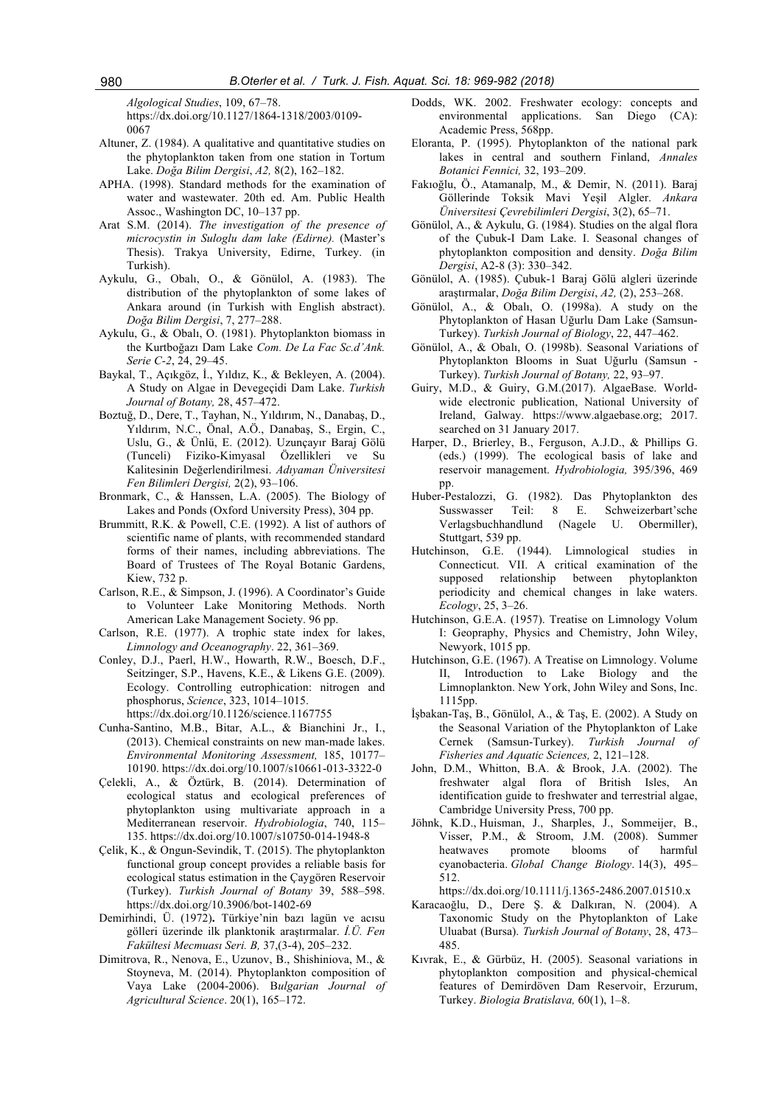*Algological Studies*, 109, 67–78. https://dx.doi.org/10.1127/1864-1318/2003/0109- 0067

- Altuner, Z. (1984). A qualitative and quantitative studies on the phytoplankton taken from one station in Tortum Lake. *Doğa Bilim Dergisi*, *A2,* 8(2), 162–182.
- APHA. (1998). Standard methods for the examination of water and wastewater. 20th ed. Am. Public Health Assoc., Washington DC, 10–137 pp.
- Arat S.M. (2014). *The investigation of the presence of microcystin in Suloglu dam lake (Edirne).* (Master's Thesis). Trakya University, Edirne, Turkey. (in Turkish).
- Aykulu, G., Obalı, O., & Gönülol, A. (1983). The distribution of the phytoplankton of some lakes of Ankara around (in Turkish with English abstract). *Doğa Bilim Dergisi*, 7, 277–288.
- Aykulu, G., & Obalı, O. (1981). Phytoplankton biomass in the Kurtboğazı Dam Lake *Com. De La Fac Sc.d'Ank. Serie C-2*, 24, 29–45.
- Baykal, T., Açıkgöz, İ., Yıldız, K., & Bekleyen, A. (2004). A Study on Algae in Devegeçidi Dam Lake. *Turkish Journal of Botany,* 28, 457–472.
- Boztuğ, D., Dere, T., Tayhan, N., Yıldırım, N., Danabaş, D., Yıldırım, N.C., Önal, A.Ö., Danabaş, S., Ergin, C., Uslu, G., & Ünlü, E. (2012). Uzunçayır Baraj Gölü (Tunceli) Fiziko-Kimyasal Özellikleri ve Su Kalitesinin Değerlendirilmesi. *Adıyaman Üniversitesi Fen Bilimleri Dergisi,* 2(2), 93–106.
- Bronmark, C., & Hanssen, L.A. (2005). The Biology of Lakes and Ponds (Oxford University Press), 304 pp.
- Brummitt, R.K. & Powell, C.E. (1992). A list of authors of scientific name of plants, with recommended standard forms of their names, including abbreviations. The Board of Trustees of The Royal Botanic Gardens, Kiew, 732 p.
- Carlson, R.E., & Simpson, J. (1996). A Coordinator's Guide to Volunteer Lake Monitoring Methods. North American Lake Management Society. 96 pp.
- Carlson, R.E. (1977). A trophic state index for lakes, *Limnology and Oceanography*. 22, 361–369.
- Conley, D.J., Paerl, H.W., Howarth, R.W., Boesch, D.F., Seitzinger, S.P., Havens, K.E., & Likens G.E. (2009). Ecology. Controlling eutrophication: nitrogen and phosphorus, *Science*, 323, 1014–1015.
	- https://dx.doi.org/10.1126/science.1167755
- Cunha-Santino, M.B., Bitar, A.L., & Bianchini Jr., I., (2013). Chemical constraints on new man-made lakes. *Environmental Monitoring Assessment,* 185, 10177– 10190. https://dx.doi.org/10.1007/s10661-013-3322-0
- Çelekli, A., & Öztürk, B. (2014). Determination of ecological status and ecological preferences of phytoplankton using multivariate approach in a Mediterranean reservoir. *Hydrobiologia*, 740, 115– 135. https://dx.doi.org/10.1007/s10750-014-1948-8
- Çelik, K., & Ongun-Sevindik, T. (2015). The phytoplankton functional group concept provides a reliable basis for ecological status estimation in the Çaygören Reservoir (Turkey). *Turkish Journal of Botany* 39, 588–598. https://dx.doi.org/10.3906/bot-1402-69
- Demirhindi, Ü. (1972)**.** Türkiye'nin bazı lagün ve acısu gölleri üzerinde ilk planktonik araştırmalar. *İ.Ü. Fen Fakültesi Mecmuası Seri. B,* 37,(3-4), 205–232.
- Dimitrova, R., Nenova, E., Uzunov, B., Shishiniova, M., & Stoyneva, M. (2014). Phytoplankton composition of Vaya Lake (2004-2006). B*ulgarian Journal of Agricultural Science*. 20(1), 165–172.
- Dodds, WK. 2002. Freshwater ecology: concepts and environmental applications. San Diego (CA): Academic Press, 568pp.
- Eloranta, P. (1995). Phytoplankton of the national park lakes in central and southern Finland, *Annales Botanici Fennici,* 32, 193–209.
- Fakıoğlu, Ö., Atamanalp, M., & Demir, N. (2011). Baraj Göllerinde Toksik Mavi Yeşil Algler. *Ankara Üniversitesi Çevrebilimleri Dergisi*, 3(2), 65–71.
- Gönülol, A., & Aykulu, G. (1984). Studies on the algal flora of the Çubuk-I Dam Lake. I. Seasonal changes of phytoplankton composition and density. *Doğa Bilim Dergisi*, A2-8 (3): 330–342.
- Gönülol, A. (1985). Çubuk-1 Baraj Gölü algleri üzerinde araştırmalar, *Doğa Bilim Dergisi*, *A2,* (2), 253–268.
- Gönülol, A., & Obalı, O. (1998a). A study on the Phytoplankton of Hasan Uğurlu Dam Lake (Samsun-Turkey). *Turkish Journal of Biology*, 22, 447–462.
- Gönülol, A., & Obalı, O. (1998b). Seasonal Variations of Phytoplankton Blooms in Suat Uğurlu (Samsun - Turkey). *Turkish Journal of Botany,* 22, 93–97.
- Guiry, M.D., & Guiry, G.M.(2017). AlgaeBase. Worldwide electronic publication, National University of Ireland, Galway. https://www.algaebase.org; 2017. searched on 31 January 2017.
- Harper, D., Brierley, B., Ferguson, A.J.D., & Phillips G. (eds.) (1999). The ecological basis of lake and reservoir management. *Hydrobiologia,* 395/396, 469 pp.
- Huber-Pestalozzi, G. (1982). Das Phytoplankton des Susswasser Teil: 8 E. Schweizerbart'sche Verlagsbuchhandlund (Nagele U. Obermiller), Stuttgart, 539 pp.
- Hutchinson, G.E. (1944). Limnological studies in Connecticut. VII. A critical examination of the supposed relationship between phytoplankton periodicity and chemical changes in lake waters. *Ecology*, 25, 3–26.
- Hutchinson, G.E.A. (1957). Treatise on Limnology Volum I: Geopraphy, Physics and Chemistry, John Wiley, Newyork, 1015 pp.
- Hutchinson, G.E. (1967). A Treatise on Limnology. Volume II, Introduction to Lake Biology and the Limnoplankton. New York, John Wiley and Sons, Inc. 1115pp.
- İşbakan-Taş, B., Gönülol, A., & Taş, E. (2002). A Study on the Seasonal Variation of the Phytoplankton of Lake Cernek (Samsun-Turkey). *Turkish Journal of Fisheries and Aquatic Sciences,* 2, 121–128.
- John, D.M., Whitton, B.A. & Brook, J.A. (2002). The freshwater algal flora of British Isles, An identification guide to freshwater and terrestrial algae, Cambridge University Press, 700 pp.
- Jöhnk, K.D., Huisman, J., Sharples, J., Sommeijer, B., Visser, P.M., & Stroom, J.M. (2008). Summer heatwaves promote blooms of harmful cyanobacteria. *Global Change Biology*. 14(3), 495– 512.

https://dx.doi.org/10.1111/j.1365-2486.2007.01510.x

- Karacaoğlu, D., Dere Ş. & Dalkıran, N. (2004). A Taxonomic Study on the Phytoplankton of Lake Uluabat (Bursa). *Turkish Journal of Botany*, 28, 473– 485.
- Kıvrak, E., & Gürbüz, H. (2005). Seasonal variations in phytoplankton composition and physical-chemical features of Demirdöven Dam Reservoir, Erzurum, Turkey. *Biologia Bratislava,* 60(1), 1–8.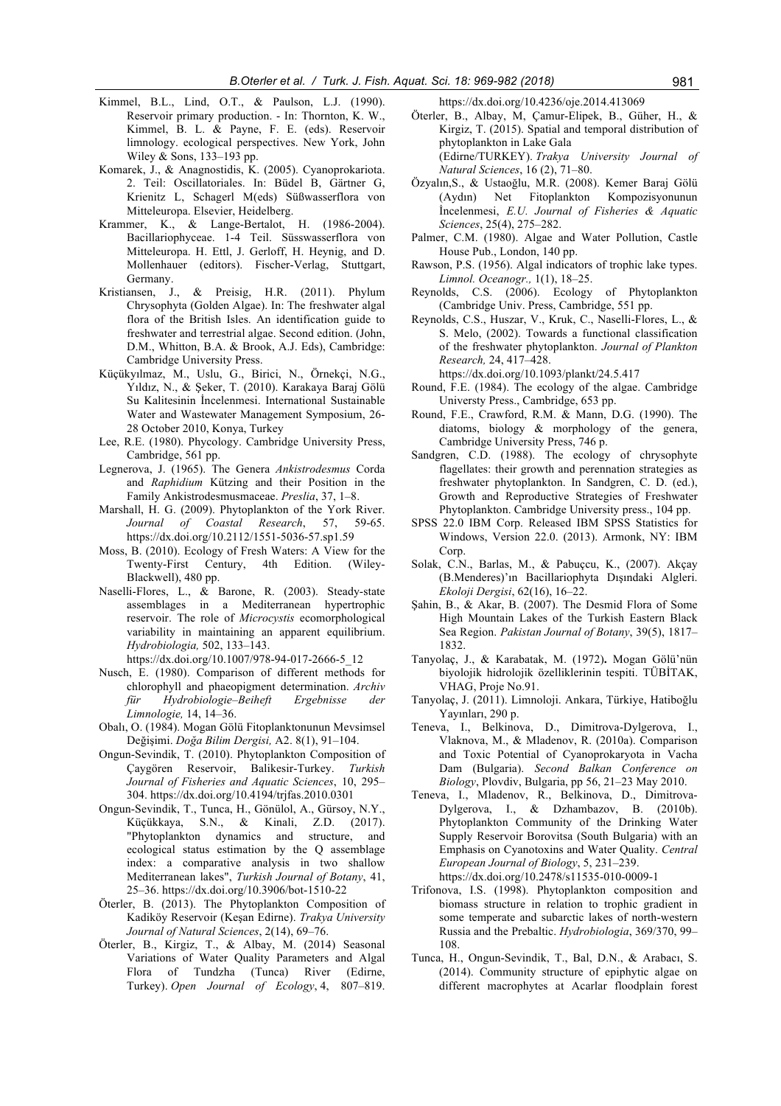- Kimmel, B.L., Lind, O.T., & Paulson, L.J. (1990). Reservoir primary production. - In: Thornton, K. W., Kimmel, B. L. & Payne, F. E. (eds). Reservoir limnology. ecological perspectives. New York, John Wiley & Sons, 133–193 pp.
- Komarek, J., & Anagnostidis, K. (2005). Cyanoprokariota. 2. Teil: Oscillatoriales. In: Büdel B, Gärtner G, Krienitz L, Schagerl M(eds) Süßwasserflora von Mitteleuropa. Elsevier, Heidelberg.
- Krammer, K., & Lange-Bertalot, H. (1986-2004). Bacillariophyceae. 1-4 Teil. Süsswasserflora von Mitteleuropa. H. Ettl, J. Gerloff, H. Heynig, and D. Mollenhauer (editors). Fischer-Verlag, Stuttgart, Germany.
- Kristiansen, J., & Preisig, H.R. (2011). Phylum Chrysophyta (Golden Algae). In: The freshwater algal flora of the British Isles. An identification guide to freshwater and terrestrial algae. Second edition. (John, D.M., Whitton, B.A. & Brook, A.J. Eds), Cambridge: Cambridge University Press.
- Küçükyılmaz, M., Uslu, G., Birici, N., Örnekçi, N.G., Yıldız, N., & Şeker, T. (2010). Karakaya Baraj Gölü Su Kalitesinin İncelenmesi. International Sustainable Water and Wastewater Management Symposium, 26- 28 October 2010, Konya, Turkey
- Lee, R.E. (1980). Phycology. Cambridge University Press, Cambridge, 561 pp.
- Legnerova, J. (1965). The Genera *Ankistrodesmus* Corda and *Raphidium* Kützing and their Position in the Family Ankistrodesmusmaceae. *Preslia*, 37, 1–8.
- Marshall, H. G. (2009). Phytoplankton of the York River. *Journal of Coastal Research*, 57, 59-65. https://dx.doi.org/10.2112/1551-5036-57.sp1.59
- Moss, B. (2010). Ecology of Fresh Waters: A View for the Twenty-First Century, 4th Edition. (Wiley-Blackwell), 480 pp.
- Naselli-Flores, L., & Barone, R. (2003). Steady-state assemblages in a Mediterranean hypertrophic reservoir. The role of *Microcystis* ecomorphological variability in maintaining an apparent equilibrium. *Hydrobiologia,* 502, 133–143. https://dx.doi.org/10.1007/978-94-017-2666-5\_12
- Nusch, E. (1980). Comparison of different methods for chlorophyll and phaeopigment determination. *Archiv für Hydrobiologie–Beiheft Ergebnisse der Limnologie,* 14, 14–36.
- Obalı, O. (1984). Mogan Gölü Fitoplanktonunun Mevsimsel Değişimi. *Doğa Bilim Dergisi,* A2. 8(1), 91–104.
- Ongun-Sevindik, T. (2010). Phytoplankton Composition of Çaygören Reservoir, Balikesir-Turkey. *Turkish Journal of Fisheries and Aquatic Sciences*, 10, 295– 304. https://dx.doi.org/10.4194/trjfas.2010.0301
- Ongun-Sevindik, T., Tunca, H., Gönülol, A., Gürsoy, N.Y., Küçükkaya, S.N., & Kinali, Z.D. (2017). "Phytoplankton dynamics and structure, and ecological status estimation by the Q assemblage index: a comparative analysis in two shallow Mediterranean lakes", *Turkish Journal of Botany*, 41, 25–36. https://dx.doi.org/10.3906/bot-1510-22
- Öterler, B. (2013). The Phytoplankton Composition of Kadiköy Reservoir (Keşan Edirne). *Trakya University Journal of Natural Sciences*, 2(14), 69–76.
- Öterler, B., Kirgiz, T., & Albay, M. (2014) Seasonal Variations of Water Quality Parameters and Algal Flora of Tundzha (Tunca) River (Edirne, Turkey). *Open Journal of Ecology*, 4, 807–819.

https://dx.doi.org/10.4236/oje.2014.413069

- Öterler, B., Albay, M, Çamur-Elipek, B., Güher, H., & Kirgiz, T. (2015). Spatial and temporal distribution of phytoplankton in Lake Gala (Edirne/TURKEY). *Trakya University Journal of Natural Sciences*, 16 (2), 71–80.
- Özyalın,S., & Ustaoğlu, M.R. (2008). Kemer Baraj Gölü (Aydın) Net Fitoplankton Kompozisyonunun İncelenmesi, *E.U. Journal of Fisheries & Aquatic Sciences*, 25(4), 275–282.
- Palmer, C.M. (1980). Algae and Water Pollution, Castle House Pub., London, 140 pp.
- Rawson, P.S. (1956). Algal indicators of trophic lake types. *Limnol. Oceanogr.,* 1(1), 18–25.
- Reynolds, C.S. (2006). Ecology of Phytoplankton (Cambridge Univ. Press, Cambridge, 551 pp.
- Reynolds, C.S., Huszar, V., Kruk, C., Naselli-Flores, L., & S. Melo, (2002). Towards a functional classification of the freshwater phytoplankton. *Journal of Plankton Research,* 24, 417–428.

https://dx.doi.org/10.1093/plankt/24.5.417

- Round, F.E. (1984). The ecology of the algae. Cambridge Universty Press., Cambridge, 653 pp.
- Round, F.E., Crawford, R.M. & Mann, D.G. (1990). The diatoms, biology & morphology of the genera, Cambridge University Press, 746 p.
- Sandgren, C.D. (1988). The ecology of chrysophyte flagellates: their growth and perennation strategies as freshwater phytoplankton. In Sandgren, C. D. (ed.), Growth and Reproductive Strategies of Freshwater Phytoplankton. Cambridge University press., 104 pp.
- SPSS 22.0 IBM Corp. Released IBM SPSS Statistics for Windows, Version 22.0. (2013). Armonk, NY: IBM Corp.
- Solak, C.N., Barlas, M., & Pabuçcu, K., (2007). Akçay (B.Menderes)'ın Bacillariophyta Dışındaki Algleri. *Ekoloji Dergisi*, 62(16), 16–22.
- Şahin, B., & Akar, B. (2007). The Desmid Flora of Some High Mountain Lakes of the Turkish Eastern Black Sea Region. *Pakistan Journal of Botany*, 39(5), 1817– 1832.
- Tanyolaç, J., & Karabatak, M. (1972)**.** Mogan Gölü'nün biyolojik hidrolojik özelliklerinin tespiti. TÜBİTAK, VHAG, Proje No.91.
- Tanyolaç, J. (2011). Limnoloji. Ankara, Türkiye, Hatiboğlu Yayınları, 290 p.
- Teneva, I., Belkinova, D., Dimitrova-Dylgerova, I., Vlaknova, M., & Mladenov, R. (2010a). Comparison and Toxic Potential of Cyanoprokaryota in Vacha Dam (Bulgaria). *Second Balkan Conference on Biology*, Plovdiv, Bulgaria, pp 56, 21–23 May 2010.
- Teneva, I., Mladenov, R., Belkinova, D., Dimitrova-Dylgerova, I., & Dzhambazov, B. (2010b). Phytoplankton Community of the Drinking Water Supply Reservoir Borovitsa (South Bulgaria) with an Emphasis on Cyanotoxins and Water Quality. *Central European Journal of Biology*, 5, 231–239. https://dx.doi.org/10.2478/s11535-010-0009-1
- Trifonova, I.S. (1998). Phytoplankton composition and biomass structure in relation to trophic gradient in some temperate and subarctic lakes of north-western Russia and the Prebaltic. *Hydrobiologia*, 369/370, 99– 108.
- Tunca, H., Ongun-Sevindik, T., Bal, D.N., & Arabacı, S. (2014). Community structure of epiphytic algae on different macrophytes at Acarlar floodplain forest